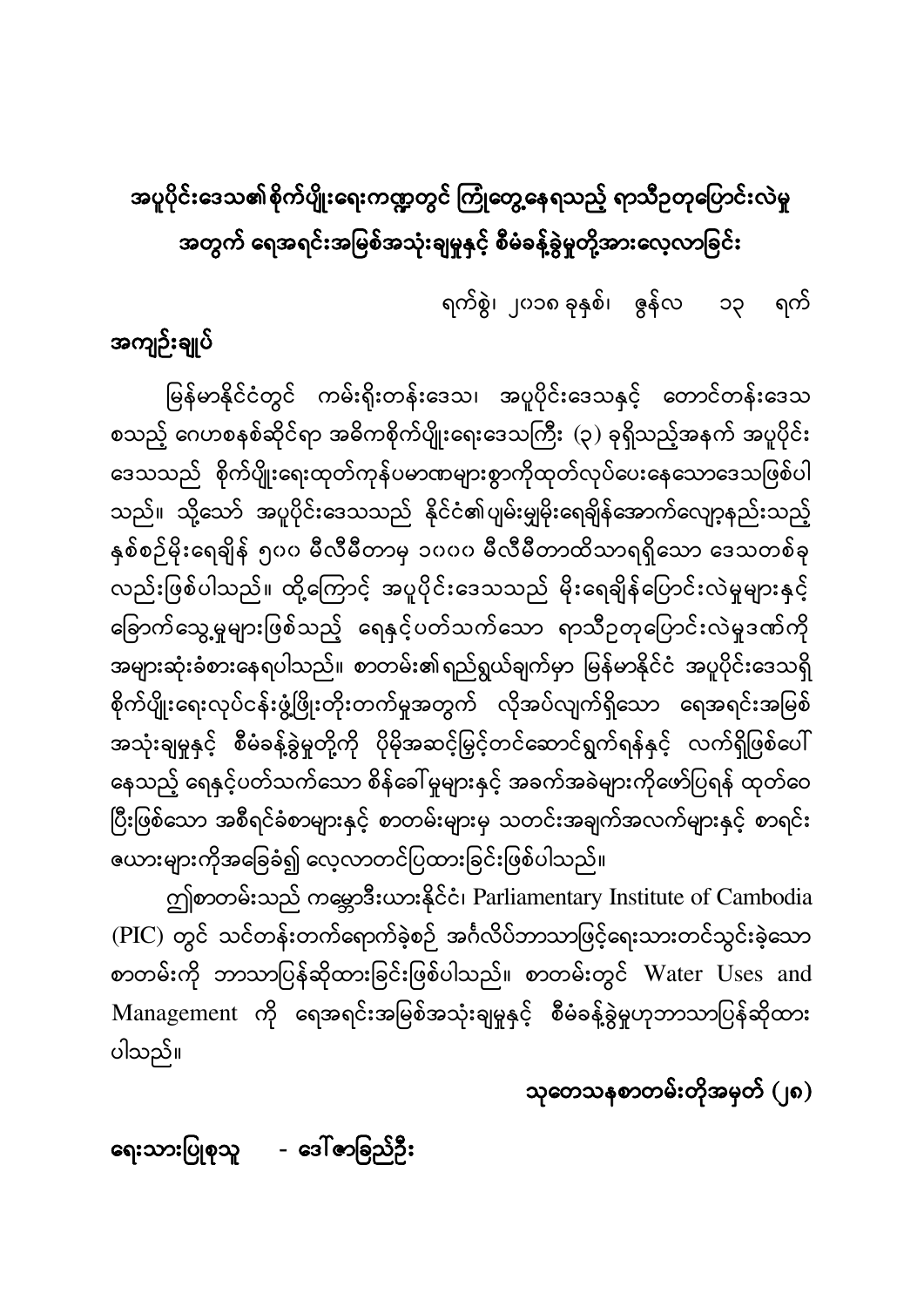# အပူပိုင်းဒေသ၏စိုက်ပျိုးရေးကဏ္ဍတွင် ကြုံတွေ့နေရသည့် ရာသီဉတုပြောင်းလဲမှု အတွက် ရေအရင်းအမြစ်အသုံးချမှုနှင့် စီမံခန့်ခွဲမှုတို့အားလေ့လာခြင်း

ရက်စွဲ၊ ၂၀၁၈ ခုနှစ်၊ ဇွန်လ ၁၃ ရက်

အကျဉ်းချုပ်

မြန်မာနိုင်ငံတွင် ကမ်းရိုးတန်းဒေသ၊ အပူပိုင်းဒေသနှင့် တောင်တန်းဒေသ ĺ စသည့် ဂေဟစနစ်ဆိုင်ရာ အဓိကစိုက်ပျိုးရေးဒေသကြီး (၃) ခုရှိသည့်အနက် အပူပိုင်း ဒေသသည် စိုက်ပျိုးရေးထုတ်ကုန်ပမာဏများစွာကိုထုတ်လုပ်ပေးနေသောဒေသဖြစ်ပါ သည်။ သို့သော် အပူပိုင်းဒေသသည် နိုင်ငံ၏ပျမ်းမျှမိုးရေချိန်အောက်လျော့နည်းသည့် နှစ်စဉ်မိုးရေချိန် ၅၀၀ မီလီမီတာမှ ၁၀၀၀ မီလီမီတာထိသာရရှိသော ဒေသတစ်ခု လည်းဖြစ်ပါသည်။ ထို့ကြောင့် အပူပိုင်းဒေသသည် မိုးရေချိန်ပြောင်းလဲမှုများနှင့် ခြောက်သွေ့မှုများဖြစ်သည့် ရေနှင့်ပတ်သက်သော ရာသီဉတုပြောင်းလဲမှုဒဏ်ကို အများဆုံးခံစားနေရပါသည်။ စာတမ်း၏ရည်ရွယ်ချက်မှာ မြန်မာနိုင်ငံ အပူပိုင်းဒေသရှိ စိုက်ပျိုးရေးလုပ်ငန်းဖွံ့ဖြိုးတိုးတက်မှုအတွက် လိုအပ်လျက်ရှိသော ရေအရင်းအမြစ် အသုံးချမှုနှင့် စီမံခန့်ခွဲမှုတို့ကို ပိုမိုအဆင့်မြှင့်တင်ဆောင်ရွက်ရန်နှင့် လက်ရှိဖြစ်ပေါ် နေသည့် ရေနှင့်ပတ်သက်သော စိန်ခေါ်မှုများနှင့် အခက်အခဲများကိုဖော်ပြရန် ထုတ်ဝေ ပြီးဖြစ်သော အစီရင်ခံစာများနှင့် စာတမ်းများမှ သတင်းအချက်အလက်များနှင့် စာရင်း ĺ ဇယားများကိုအခြေခံ၍ လေ့လာတင်ပြထားခြင်းဖြစ်ပါသည်။

ဤစာတမ်းသည် ကမ္ဘောဒီးယားနိုင်ငံ၊ Parliamentary Institute of Cambodia (PIC) တွင် သင်တန်းတက်ရောက်ခဲ့စဉ် အင်္ဂလိပ်ဘာသာဖြင့်ရေးသားတင်သွင်းခဲ့သော စာတမ်းကို ဘာသာပြန်ဆိုထားခြင်းဖြစ်ပါသည်။ စာတမ်းတွင် Water Uses and Management ကို ရေအရင်းအမြစ်အသုံးချမှုနှင့် စီမံခန့်ခွဲမှုဟုဘာသာပြန်ဆိုထား ပါသည်။

သုတေသနစာတမ်းတိုအမှတ် (၂၈)

ရေးသားပြုစုသူ - ဒေါ်ဇာခြည်ဦး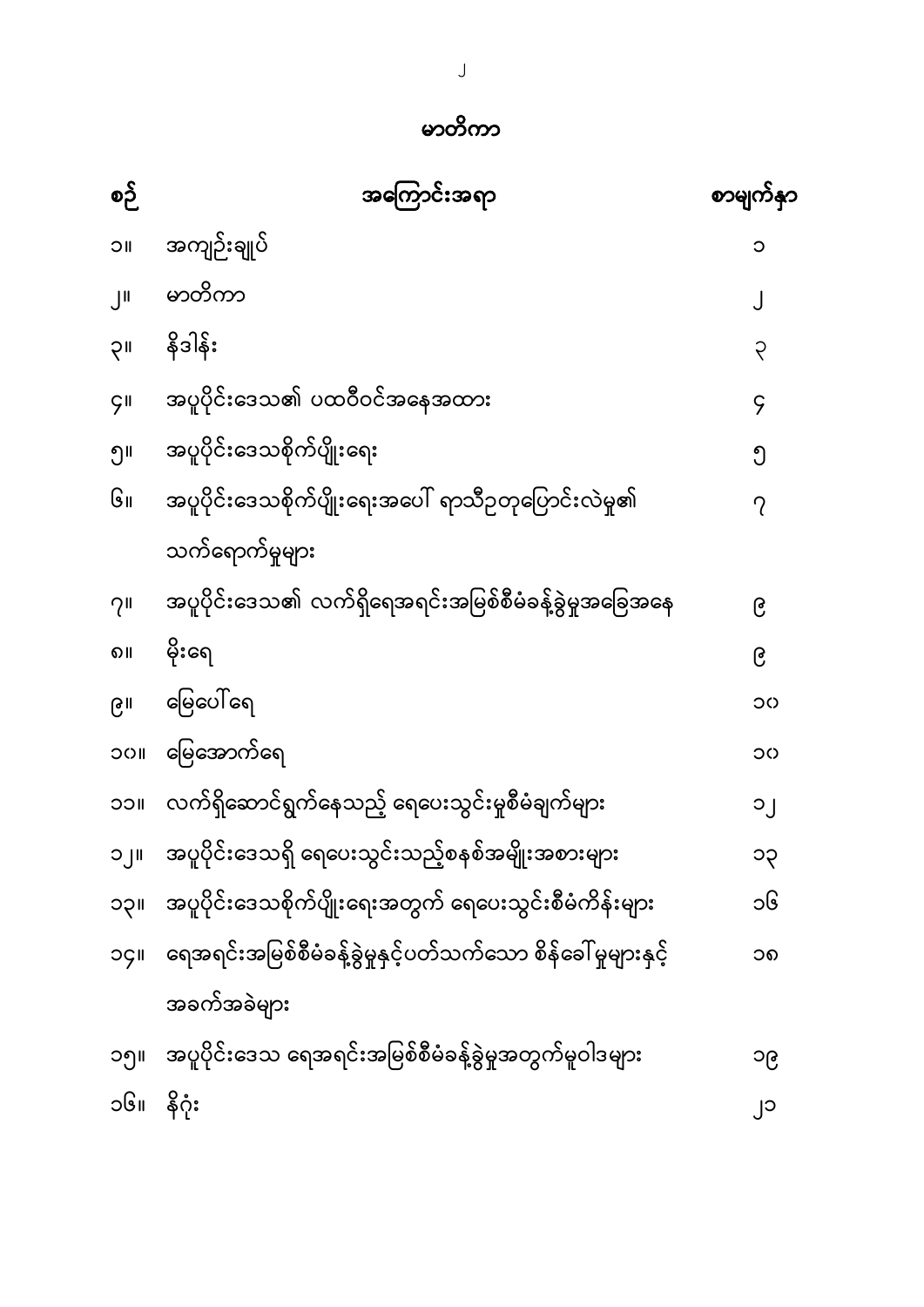| စဉ်                       | အကြောင်းအရာ                                                   | စာမျက်နှာ   |
|---------------------------|---------------------------------------------------------------|-------------|
| $\overline{\overline{C}}$ | အကျဉ်းချုပ်                                                   | ၁           |
| $J^{\parallel}$           | မာတိကာ                                                        |             |
| <b>UÇ</b>                 | နိဒါန်း                                                       | ၃           |
| $\zeta$ II                | အပူပိုင်းဒေသ၏ ပထဝီဝင်အနေအထား                                  | $\varsigma$ |
| ၅။                        | အပူပိုင်းဒေသစိုက်ပျိုးရေး                                     | ၅           |
| ၆။                        | အပူပိုင်းဒေသစိုက်ပျိုးရေးအပေါ် ရာသီဥတုပြောင်းလဲမှု၏           | ?           |
|                           | သက်ရောက်မှုများ                                               |             |
| 7 <sup>11</sup>           | အပူပိုင်းဒေသ၏ လက်ရှိရေအရင်းအမြစ်စီမံခန့်ခွဲမှုအခြေအနေ         | ၉           |
| ၈။                        | မိုးရေ                                                        | ၉           |
| ၉။                        | မြေပေါ် ရေ                                                    | ၁၀          |
| <b>UCC</b>                | မြေအောက်ရေ                                                    | ၁၀          |
| <b>UCC</b>                | လက်ရှိဆောင်ရွက်နေသည့် ရေပေးသွင်းမှုစီမံချက်များ               | $O_{1}$     |
| $   \cdot   $             | အပူပိုင်းဒေသရှိ ရေပေးသွင်းသည့်စနစ်အမျိုးအစားများ              | ၁၃          |
| <b>IIÇC</b>               | အပူပိုင်းဒေသစိုက်ပျိုးရေးအတွက် ရေပေးသွင်းစီမံကိန်းများ        | ၁၆          |
| oçi                       | ရေအရင်းအမြစ်စီမံခန့်ခွဲမှုနှင့်ပတ်သက်သော စိန်ခေါ် မူများနှင့် | ၁၈          |
|                           | အခက်အခဲများ                                                   |             |
| ၁၅။                       | အပူပိုင်းဒေသ ရေအရင်းအမြစ်စီမံခန့်ခွဲမှုအတွက်မူဝါဒများ         | ၁၉          |
| ၁၆။                       | နိဂုံး                                                        | ျ၁          |

မာတိကာ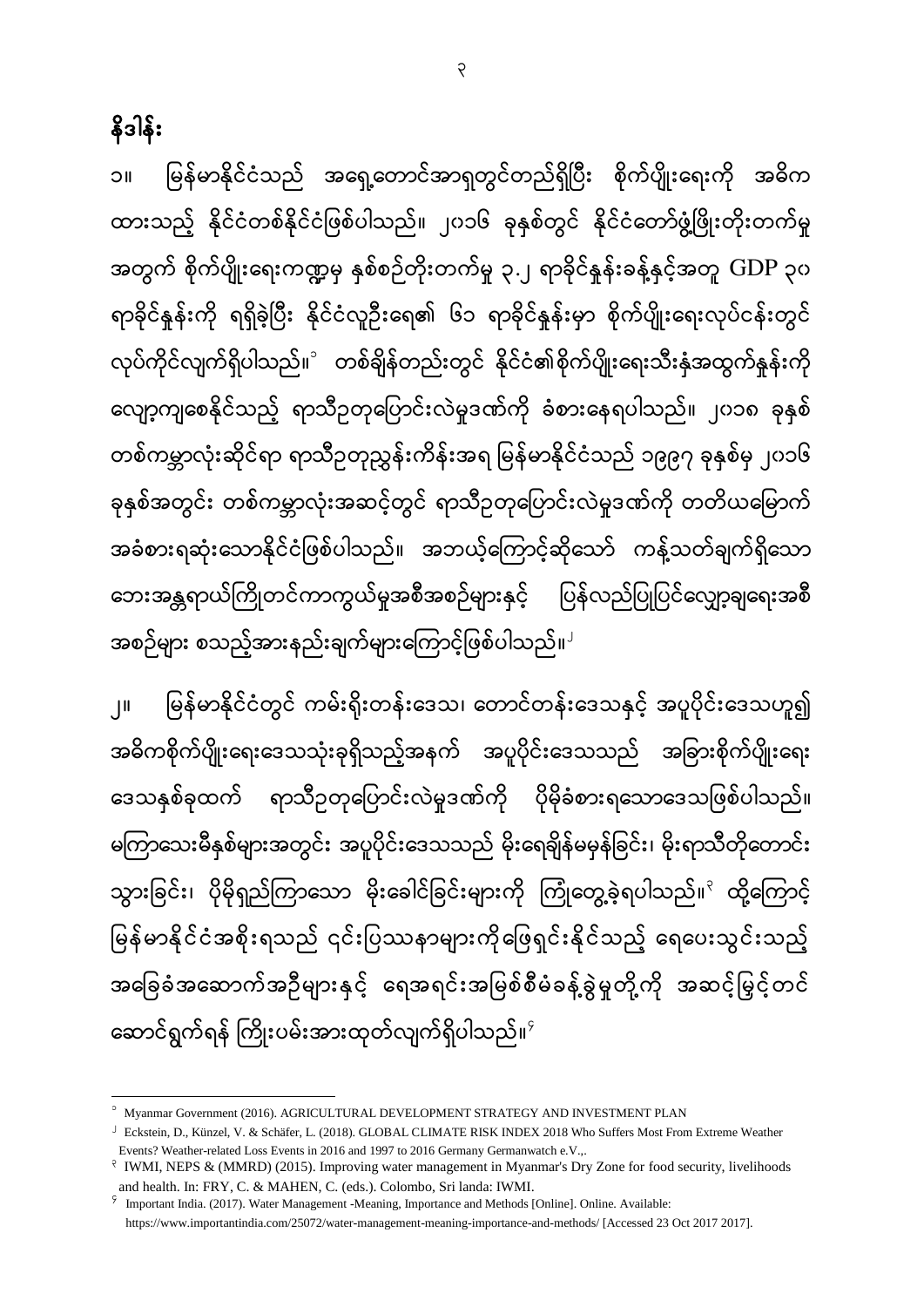3

နိဒါန်း

၁။ မြန်မာနိုင်ငံသည် အရှေ့တောင်အာရှတွင်တည်ရှိပြီး စိုက်ပျိုးရေးကို အဓိက ထားသည့် နိုင်ငံတစ်နိုင်ငံ ြစ်ပါသည်။ ၂၀၁၆ ခုနှစ်တွင် နိုင်ငံဒတာ်ြွံ ့ပြိုးတိုးတက်မှု အတွက် စိုက်ပျိုးရေးကဏ္ဍမှ နှစ်စဉ်တိုးတက်မှု ၃.၂ ရာခိုင်နူန်းခန့်နှင့်အတူ GDP ၃၀ ောခိုင်နှုန်းကို ေေှိခဲ့ပပီး နိုင်ငံလူဦးဒေ၏ ၆၁ ောခိုင်နှုန်းမှာ စိုက်ပျိုးဒေးလုပ်ငန်းတွင် လုပ်ကိုင်လျက်ရှိပါသည်။ $^{\circ}$  တစ်ချိန်တည်းတွင် နိုင်ငံ၏စိုက်ပျိုးရေးသီးနှံအထွက်နှန်းကို လျော့ကျစေနိုင်သည့် ရာသီဥတုပြောင်းလဲမှုဒဏ်ကို ခံစားနေရပါသည်။ ၂၀၁၈ ခုနှစ် တစ်ကမ္ဘာလုံးဆိုင်ဲရာ ရာသီဥတုညွှန်းကိန်းအရ မြန်မာနိုင်ငံသည် ၁၉၉၇ ခုနှစ်မှ ၂၀၁၆ ခုနှစ်အတွင်း တစ်ကမ္ဘာလုံးအဆင့်တွင် ရာသီဥတုပြောင်းလဲမှုဒဏ်ကို တတိယမြောက် အခံစားရဆုံးသောနိုင်ငံဖြစ်ပါသည်။ အဘယ့်ကြောင့်ဆိုသော် ကန့်သတ်ချက်ရှိသော ဘေးအန္တရာယ်ကြိုတင်ကာကွယ်မှုအစီအစဉ်များနှင့် ပြန်လည်ပြုပြင်လျှော့ချရေးအစီ အစဉ်များ စသည့်အားနည်းချက်များကြောင့်ဖြစ်ပါသည်။ $^{\mathsf{J}}$ 

၂။ မန်မာနိုင်ငံတွင် ကမ်းရိုးတန်းဒဒသ၊ ဒတာင်တန်းဒဒသနှင့် အပူပိုင်းဒဒသဟူ၍ အဓိကစိုက်ပျိုးရေးဒေသသုံးခုရှိသည့်အနက် အပူပိုင်းဒေသသည် အခြားစိုက်ပျိုးရေး ဒေသနှစ်ခုထက် ရာသီဥတုပြောင်းလဲမှုဒဏ်ကို ပိုမိုခံစားရသောဒေသဖြစ်ပါသည်။ မကြာသေးမီနှစ်များအတွင်း အပူပိုင်းဒေသသည် မိုးရေချိန်မမှန်ခြင်း၊ မိုးရာသီတိုတောင်း သွားခြင်း၊ ပိုမိုရှည်ကြာသော မိုးခေါင်ခြင်းများကို ကြုံတွေ့ခဲ့ရပါသည်။<sup>၃</sup> ထို့ကြောင့် မြန်မာနိုင်ငံအစိုးရသည် ၎င်းပြဿနာများကိုဖြေရှင်းနိုင်သည့် ရေပေးသွင်းသည့် အခြေခံအဆောက်အဦများနှင့် ရေအရင်းအမြစ်စီမံခန့်ခွဲမှုတို့ကို အဆင့်မြှင့်တင် ဆောင်ရွက်ရန် ကြိုးပမ်းအားထုတ်လျက်ရှိပါသည်။ $^{\circ}$ 

 $\overline{a}$ <sup>1</sup> Myanmar Government (2016). AGRICULTURAL DEVELOPMENT STRATEGY AND INVESTMENT PLAN

<sup>2</sup> Eckstein, D., Künzel, V. & Schäfer, L. (2018). GLOBAL CLIMATE RISK INDEX 2018 Who Suffers Most From Extreme Weather Events? Weather-related Loss Events in 2016 and 1997 to 2016 Germany Germanwatch e.V.,.

<sup>&</sup>lt;sup>2</sup> IWMI, NEPS & (MMRD) (2015). Improving water management in Myanmar's Dry Zone for food security, livelihoods and health. In: FRY, C. & MAHEN, C. (eds.). Colombo, Sri landa: IWMI.

<sup>4</sup> Important India. (2017). Water Management -Meaning, Importance and Methods [Online]. Online. Available: https:[//www.importantindia.com/25072/water-management-meaning-importance-and-methods/](http://www.importantindia.com/25072/water-management-meaning-importance-and-methods/) [Accessed 23 Oct 2017 2017].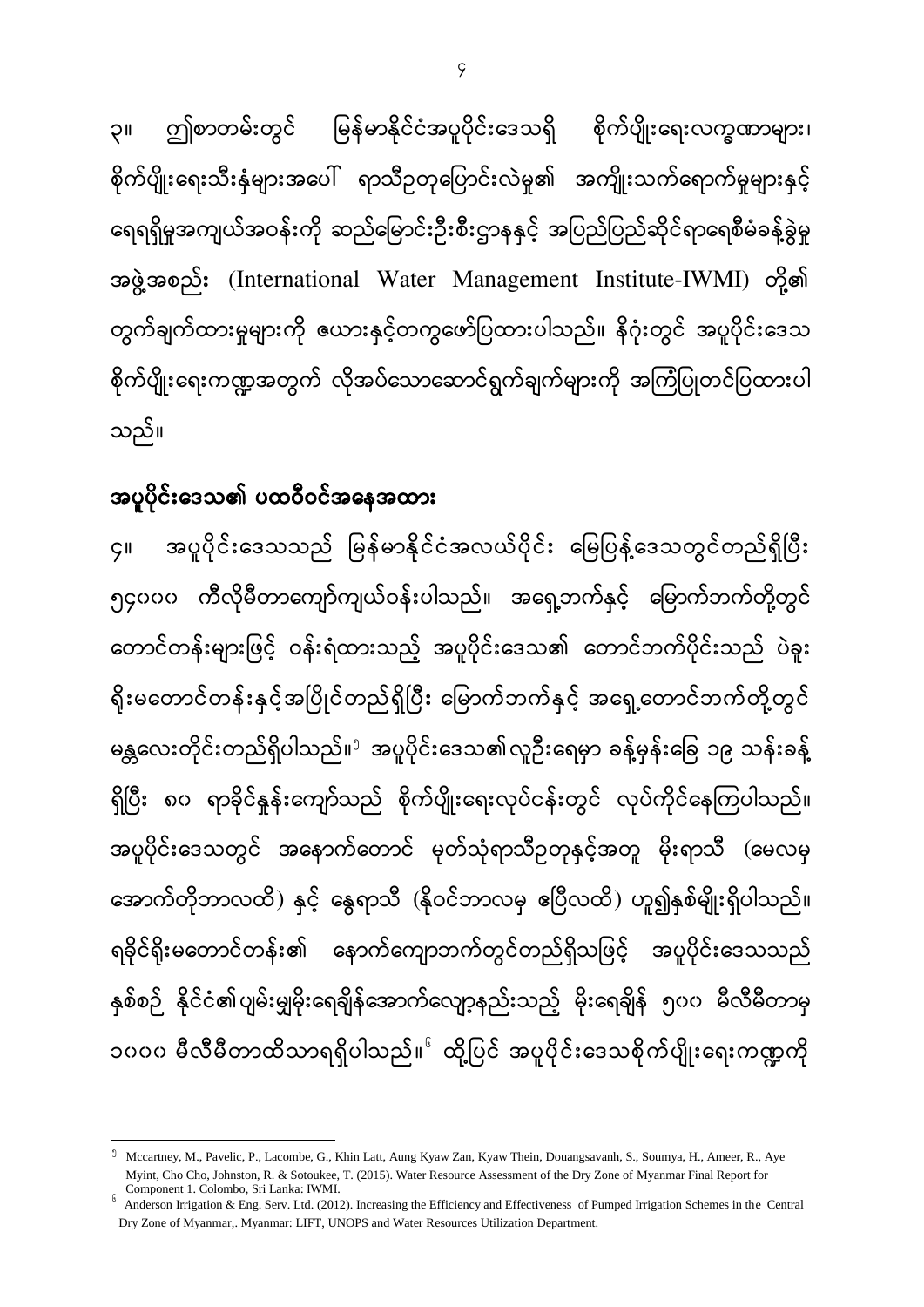ဤစာတမ်းတွင် မြန်မာနိုင်ငံအပူပိုင်းဒေသရှိ စိုက်ပျိုးရေးလက္ခဏာများ၊ ၃ စိုက်ပျိုးရေးသီးနှံများအပေါ် ရာသီဥတုပြောင်းလဲမှု၏ အကျိုးသက်ရောက်မှုများနှင့် ရေရရှိမှုအကျယ်အဝန်းကို ဆည်မြောင်းဦးစီးဌာနနှင့် အပြည်ပြည်ဆိုင်ရာရေစီမံခန့်ခွဲမှု အဖွဲ့အစည်း (International Water Management Institute-IWMI) တို့၏ တွက်ချက်ထားမှုများကို ဇယားနှင့်တကွဖော်ပြထားပါသည်။ နိဂုံးတွင် အပူပိုင်းဒေသ စိုက်ပျိုးရေးကဏ္ဍအတွက် လိုအပ်သောဆောင်ရွက်ချက်များကို အကြံပြုတင်ပြထားပါ သည်။

# အပူပိုင်းဒေသ၏ ပထဝီဝင်အနေအထား

အပူပိုင်းဒေသသည် မြန်မာနိုင်ငံအလယ်ပိုင်း မြေပြန့်ဒေသတွင်တည်ရှိပြီး ၄ ၅၄၀၀၀ ကီလိုမီတာကျော်ကျယ်ဝန်းပါသည်။ အရှေ့ဘက်နှင့် မြောက်ဘက်တို့တွင် တောင်တန်းများဖြင့် ဝန်းရံထားသည့် အပူပိုင်းဒေသ၏ တောင်ဘက်ပိုင်းသည် ပဲခူး ရိုးမတောင်တန်းနှင့်အပြိုင်တည်ရှိပြီး မြောက်ဘက်နှင့် အရှေ့တောင်ဘက်တို့တွင် မန္တလေးတိုင်းတည်ရှိပါသည်။<sup>၅</sup> အပူပိုင်းဒေသ၏လူဦးရေမှာ ခန့်မှန်းခြေ ၁၉ သန်းခန့် ရှိပြီး ၈၀ ရာခိုင်နှုန်းကျော်သည် စိုက်ပျိုးရေးလုပ်ငန်းတွင် လုပ်ကိုင်နေကြပါသည်။ အပူပိုင်းဒေသတွင် အနောက်တောင် မှတ်သုံရာသီဉတုနှင့်အတူ မိုးရာသီ (မေလမှ အောက်တိုဘာလထိ) နှင့် နွေရာသီ (နိုဝင်ဘာလမှ ဧပြီလထိ) ဟူ၍နှစ်မျိုးရှိပါသည်။ ရခိုင်ရိုးမတောင်တန်း၏ နောက်ကျောဘက်တွင်တည်ရှိသဖြင့် အပူပိုင်းဒေသသည် နှစ်စဉ် နိုင်ငံ၏ပျမ်းမျှမိုးရေချိန်အောက်လျော့နည်းသည့် မိုးရေချိန် ၅၀၀ မီလီမီတာမှ ၁၀၀၀ မီလီမီတာထိသာရရှိပါသည်။<sup>ေ</sup>ထို့ပြင် အပူပိုင်းဒေသစိုက်ပျိုးရေးကဏ္ဍကို

**<sup>.</sup>** <sup>5</sup> Mccartney, M., Pavelic, P., Lacombe, G., Khin Latt, Aung Kyaw Zan, Kyaw Thein, Douangsavanh, S., Soumya, H., Ameer, R., Aye Myint, Cho Cho, Johnston, R. & Sotoukee, T. (2015). Water Resource Assessment of the Dry Zone of Myanmar Final Report for Component 1. Colombo, Sri Lanka: IWMI.

<sup>6</sup> Anderson Irrigation & Eng. Serv. Ltd. (2012). Increasing the Efficiency and Effectiveness of Pumped Irrigation Schemes in the Central Dry Zone of Myanmar,. Myanmar: LIFT, UNOPS and Water Resources Utilization Department.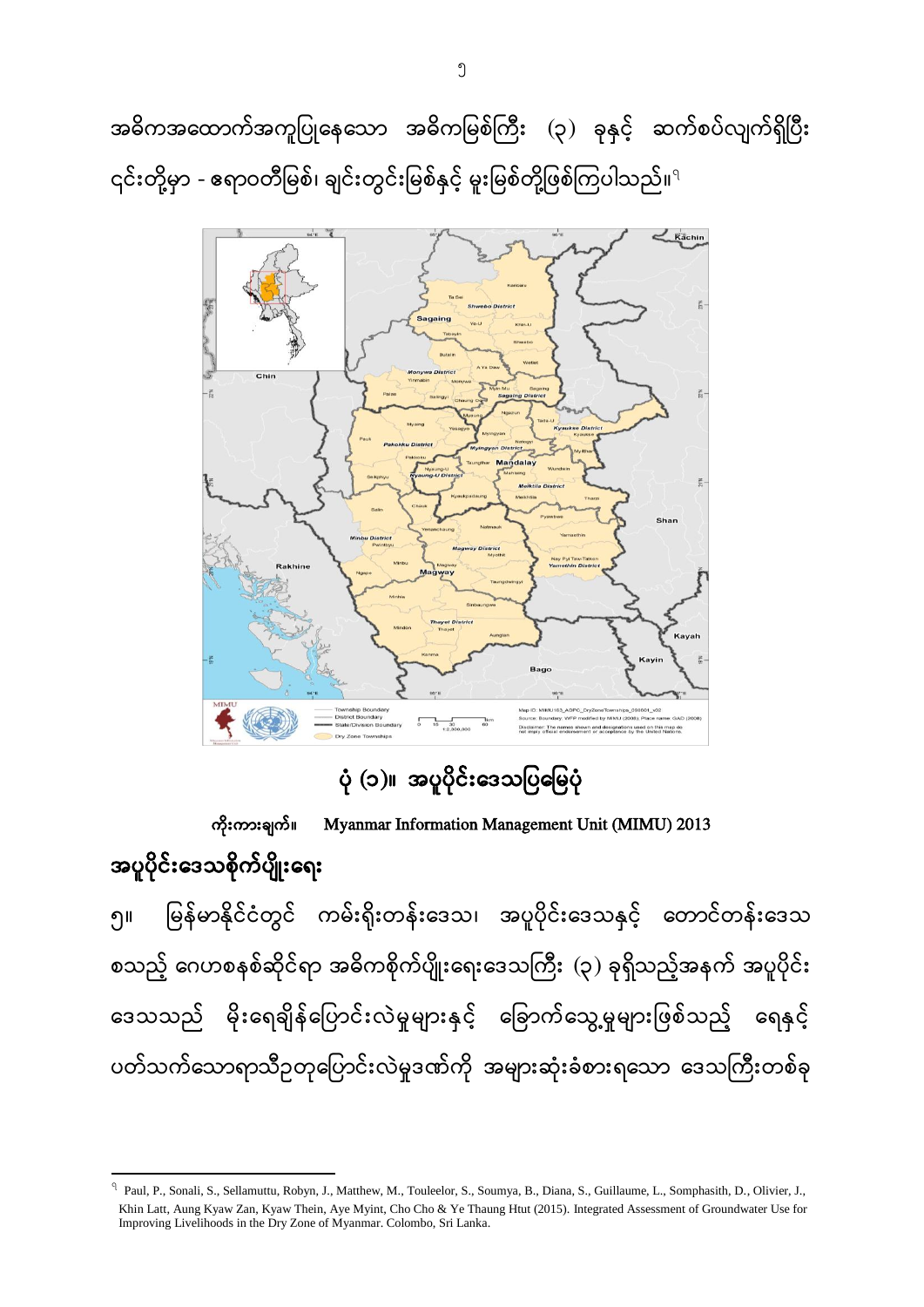အဓိကအထောက်အကူပြုနေသော အဓိကမြစ်ကြီး (၃) ခုနှင့် ဆက်စပ်လျက်ရှိပြီး ၎င်းတို့မှာ - ဧရာဝတီမြစ်၊ ချင်းတွင်းမြစ်နှင့် မူးမြစ်တို့ဖြစ်ကြပါသည်။ $^{\rm q}$ 



ပုံ (၁)။ အပူပိုင်းဒေသပြမြေပုံ

 Myanmar Information Management Unit (MIMU) 2013 အပူပိုင်းဒေသစိုက်ပျိုးရေး မြန်မာနိုင်ငံတွင် ကမ်းရိုးတန်းဒေသ၊ အပူပိုင်းဒေသနှင့် တောင်တန်းဒေသ ၅ စသည့် ဂေဟစနစ်ဆိုင်ရာ အဓိကစိုက်ပျိုးရေးဒေသကြီး (၃) ခုရှိသည့်အနက် အပူပိုင်း ဒေသသည် မိုးရေချိန်ပြောင်းလဲမှုများနှင့် ခြောက်သွေ့မှုများဖြစ်သည့် ရေနှင့် ပတ်သက်သောရာသီဥတုပြောင်းလဲမှုဒဏ်ကို အများဆုံးခံစားရသော ဒေသကြီးတစ်ခု

<sup>&</sup>lt;sup>9</sup> Paul, P., Sonali, S., Sellamuttu, Robyn, J., Matthew, M., Touleelor, S., Soumya, B., Diana, S., Guillaume, L., Somphasith, D., Olivier, J., Khin Latt, Aung Kyaw Zan, Kyaw Thein, Aye Myint, Cho Cho & Ye Thaung Htut (2015). Integrated Assessment of Groundwater Use for Improving Livelihoods in the Dry Zone of Myanmar. Colombo, Sri Lanka.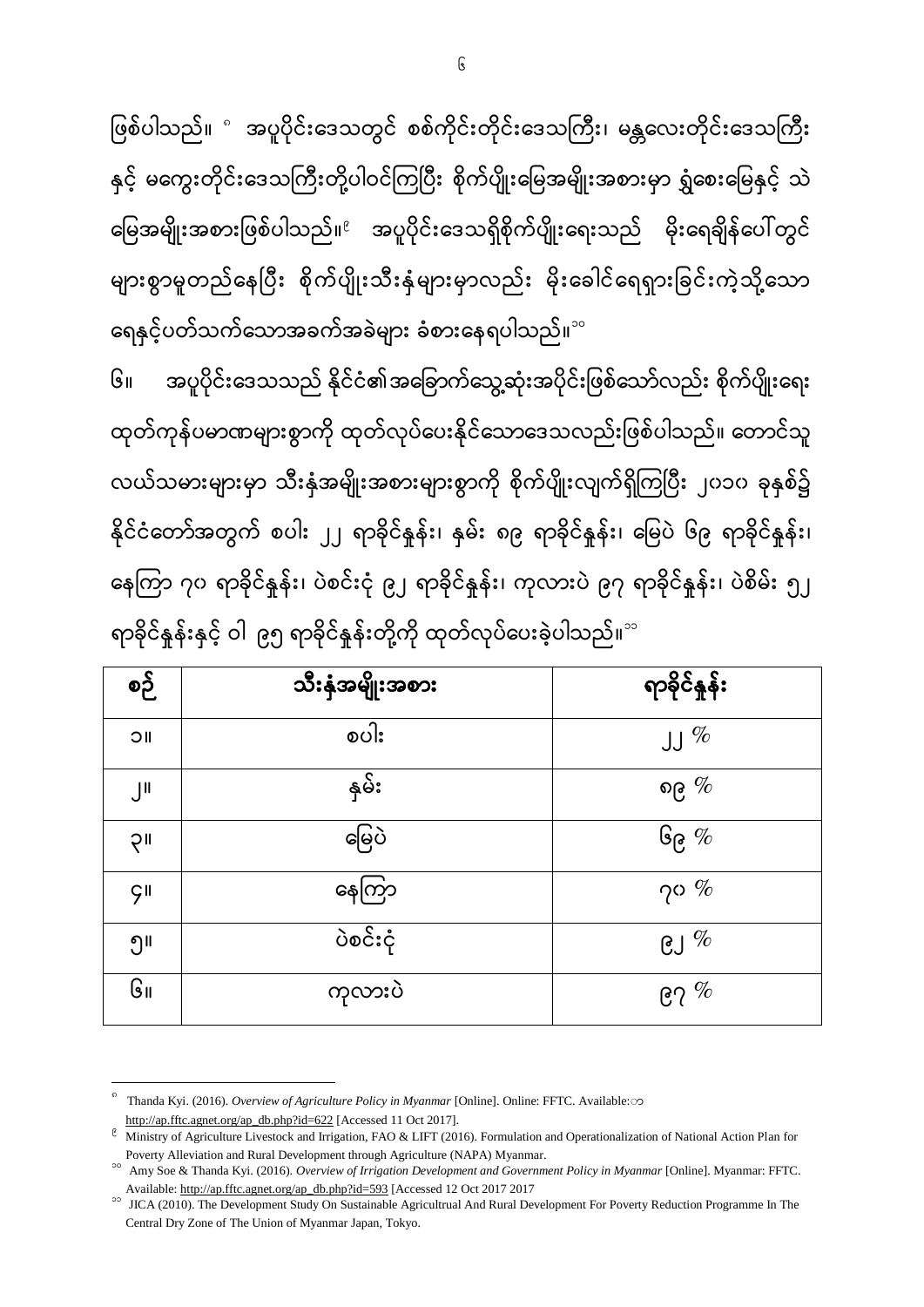6

ဖြစ်ပါသည်။ ° အပူပိုင်းဒေသတွင် စစ်ကိုင်းတိုင်းဒေသကြီး၊ မန္တလေးတိုင်းဒေသကြီး

နှင့် မကွေးတိုင်းဒေသကြီးတို့ပါဝင်ကြပြီး စိုက်ပျိုးမြေအမျိုးအစားမှာ ရွှံစေးမြေနှင့် သဲ

မြေအမျိုးအစားဖြစ်ပါသည်။<sup>ဧ</sup> အပူပိုင်းဒေသရှိစိုက်ပျိုးရေးသည် မိုးရေချိန်ပေါ်တွင်

များစွာမူတည်နေပြီး စိုက်ပျိုးသီးနှံများမှာလည်း မိုးခေါင်ရေရှားခြင်းကဲ့သို့သော

ထုတ်ကုန်ပမာဏများစွာကို ထုတ်လုပ်ပေးနိုင်သောဒေသလည်းဖြစ်ပါသည်။ တောင်သူ

အပူပိုင်းဒေသသည် နိုင်ငံ၏အခြောက်သွေ့ဆုံးအပိုင်းဖြစ်သော်လည်း စိုက်ပျိုးရေး

လယ်သမားများမှာ သီးနှံအမျိုးအစားများစွာကို စိုက်ပျိုးလျက်ရှိကြပြီး ၂၀၁၀ ခုနှစ်၌

နိုင်ငံတော်အတွက် စပါး ၂၂ ရာခိုင်နူန်း၊ နှမ်း ၈၉ ရာခိုင်နူန်း၊ မြေပဲ ၆၉ ရာခိုင်နူန်း၊

နေကြာ ၇၀ ရာခိုင်နူန်း၊ ပဲစင်းငုံ ၉၂ ရာခိုင်နူန်း၊ ကုလားပဲ ၉၇ ရာခိုင်နူန်း၊ ပဲစိမ်း ၅၂

<u> ရာခိုင်နူန်း</u>

ရေနှင့်ပတ်သက်သောအခက်အခဲများ ခံစားနေရပါသည်။<sup>。</sup>

ရာခိုင်နှုန်းနှင့် ဝါ ၉၅ ရာခိုင်နှန်းတို့ကို ထုတ်လုပ်ပေးခဲ့ပါသည်။<sup>ာ</sup>

သီးနံအမျိုးအစား

၁။  $\vert$  စပါး စပါး  $\vert$  ျ $\%$ 

၂။  $\downarrow$  နမ်း သားသားသား ရုပ်သားသား မြစ်ဖြစ

၃။  $\vert$  ေမြေပဲ ပြောသား မြေပဲကို ပြုပြုပြ

၄။  $\vert$  ေနေကြာ မေနတြင္ မေန႔ အေျပာခ်က္ေတြ

၅။  $\vert$  ပဲစင်းငုံ ပဲစကားကို ပဲစကားကို ပါ

၆။  $\vert$  ကုလားပဲ ကု $\vert$  ၉၇ $\%$ 

၆

စဉ်

Available[: http://ap.fftc.agnet.org/ap\\_db.php?id=593](http://ap.fftc.agnet.org/ap_db.php?id=593) [Accessed 12 Oct 2017 2017 <sup>20</sup> JICA (2010). The Development Study On Sustainable Agricultrual And Rural Development For Poverty Reduction Programme In The Central Dry Zone of The Union of Myanmar Japan, Tokyo.

Poverty Alleviation and Rural Development through Agriculture (NAPA) Myanmar. <sup>20</sup> Amy Soe & Thanda Kyi. (2016). *Overview of Irrigation Development and Government Policy in Myanmar* [Online]. Myanmar: FFTC.

 $\ell$  Ministry of Agriculture Livestock and Irrigation, FAO & LIFT (2016). Formulation and Operationalization of National Action Plan for

[http://ap.fftc.agnet.org/ap\\_db.php?id=622](http://ap.fftc.agnet.org/ap_db.php?id=622) [Accessed 11 Oct 2017].

 $\circ$ Thanda Kyi. (2016). *Overview of Agriculture Policy in Myanmar* [Online]. Online: FFTC. Available: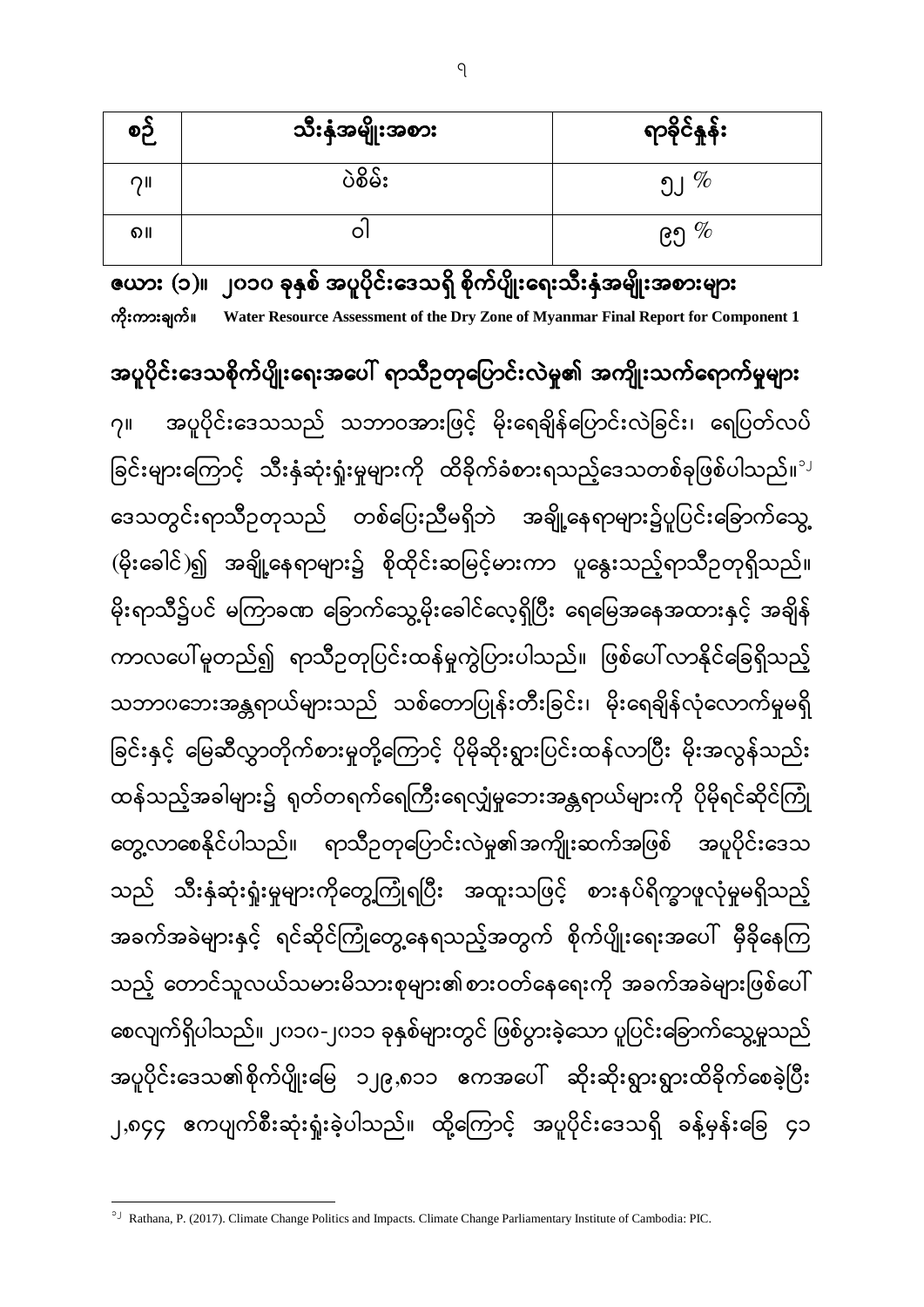| စဉ် | သီးနှံအမျိုးအစား | ရာခိုင်နှုန်း |
|-----|------------------|---------------|
| つ川  | ပဲစိမ်း          | $\%$          |
| ၈။  | O                | ၉၅ $\%$       |

ဇယား (၁)။ ၂၀၁၀ ခုနှစ် အပူပိုင်းဒေသရှိ စိုက်ပျိုးရေးသီးနှံအမျိုးအစားများ **Water Resource Assessment of the Dry Zone of Myanmar Final Report for Component 1**

အပူပိုင်းဒေသစိုက်ပျိုးရေးအပေါ် ရာသီဥတုပြောင်းလဲမှု၏ အကျိုးသက်ရောက်မှုများ

အပူပိုင်းဒေသသည် သဘာဝအားဖြင့် မိုးရေချိန်ပြောင်းလဲခြင်း၊ ရေပြတ်လပ်  $21$ ခြင်းများကြောင့် သီးနှံဆုံးရှုံးမှုများကို ထိခိုက်ခံစားရသည့်ဒေသတစ်ခုဖြစ်ပါသည်။<sup>ျ</sup> ဒေသတွင်းရာသီဥတုသည် တစ်ပြေးညီမရှိဘဲ အချို့နေရာများ၌ပူပြင်းခြောက်သွေ့ (မိုးခေါင်)၍ အချို့နေရာများ၌ စိုထိုင်းဆမြင့်မားကာ ပူနွေးသည့်ရာသီဉတုရှိသည်။ မိုးရာသီ၌ပင် မကြာခဏ ခြောက်သွေ့မိုးခေါင်လေ့ရှိပြီး ရေမြေအနေအထားနှင့် အချိန် ကာလပေါ် မူတည်၍ ရာသီဥတုပြင်းထန်မှုကွဲပြားပါသည်။ ဖြစ်ပေါ်လာနိုင်ခြေရှိသည့် သဘာဂဘေးအန္တရာယ်များသည် သစ်တောပြုန်းတီးခြင်း၊ မိုးရေချိန်လုံလောက်မှုမရှိ ခြင်းနှင့် မြေဆီလွှာတိုက်စားမှုတို့ကြောင့် ပိုမိုဆိုးရွားပြင်းထန်လာပြီး မိုးအလွန်သည်း ĺ ထန်သည့်အခါများ၌ ရုတ်တရက်ရေကြီးရေလျှံမှုဘေးအန္တရာယ်များကို ပိုမိုရင်ဆိုင်ကြုံ တွေ့လာစေနိုင်ပါသည်။ ရာသီဥတုပြောင်းလဲမှု၏အကျိုးဆက်အဖြစ် အပူပိုင်းဒေသ သည် သီးနှံဆုံးရှုံးမှုများကိုတွေ့ကြုံရပြီး အထူးသဖြင့် စားနပ်ရိက္ခာဖူလုံမှုမရှိသည့် အခက်အခဲများနှင့် ရင်ဆိုင်ကြုံတွေ့နေရသည့်အတွက် စိုက်ပျိုးရေးအပေါ် မှီခိုနေကြ သည့် တောင်သူလယ်သမားမိသားစုများ၏စားဝတ်နေရေးကို အခက်အခဲများဖြစ်ပေါ် စေလျက်ရှိပါသည်။ ၂၀၁၀-၂၀၁၁ ခုနှစ်များတွင် ဖြစ်ပွားခဲ့သော ပူပြင်းခြောက်သွေ့မှုသည် အပူပိုင်းဒေသ၏စိုက်ပျိုးမြေ ၁၂၉,၈၁၁ ဧကအပေါ် ဆိုးဆိုးရွားရွားထိခိုက်စေခဲ့ပြီး ၂,၈၄၄ ဧကပျက်စီးဆုံးရှုံးခဲ့ပါသည်။ ထို့ကြောင့် အပူပိုင်းဒေသရှိ ခန့်မှန်းခြေ ၄၁

<sup>&</sup>lt;sup>2</sup> Rathana, P. (2017). Climate Change Politics and Impacts. Climate Change Parliamentary Institute of Cambodia: PIC.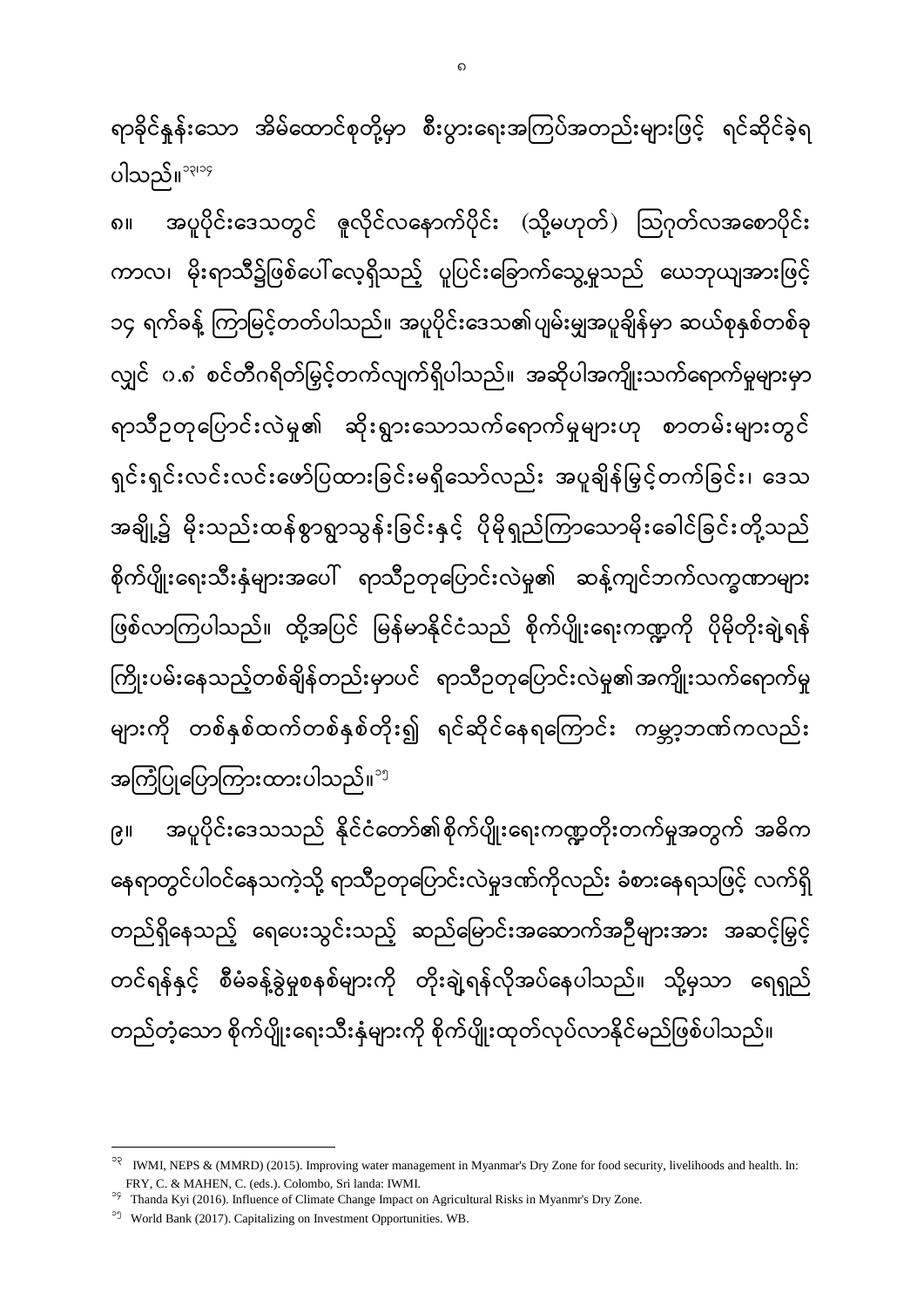၈ ( ) ကာလ၊ မိုးရာသီ၌ဖြစ်ပေါ်လေ့ရှိသည့် ပူပြင်းခြောက်သွေ့မှုသည် ယေဘုယျအားဖြင့် ၁၄ ရက်ခန့် ကြာမြင့်တတ်ပါသည်။ အပူပိုင်းဒေသ၏ပျမ်းမျှအပူချိန်မှာ ဆယ်စုနှစ်တစ်ခု လျှင် ၀.၈ စင်တီဂရိတ်မြှင့်တက်လျက်ရှိပါသည်။ အဆိုပါအကျိုးသက်ရောက်မှုများမှာ ရာသီဥတုပြောင်းလဲမှု၏ ဆိုးရွားသောသက်ရောက်မှုများဟု စာတမ်းများတွင် ရှင်းရှင်းလင်းလင်းဖော်ပြထားခြင်းမရှိသော်လည်း အပူချိန်မြှင့်တက်ခြင်း၊ ဒေသ အချို့၌ မိုးသည်းထန်စွာရွာသွန်းခြင်းနှင့် ပိုမိုရှည်ကြာသောမိုးခေါင်ခြင်းတို့သည် စိုက်ပျိုးရေးသီးနှံများအပေါ် ရာသီဥတုပြောင်းလဲမှု၏ ဆန့်ကျင်ဘက်လက္ခဏာများ ဖြစ်လာကြပါသည်။ ထို့အပြင် မြန်မာနိုင်ငံသည် စိုက်ပျိုးရေးကဏ္ဍကို ပိုမိုတိုးချဲ့ရန် ĺ ကြိုးပမ်းနေသည့်တစ်ချိန်တည်းမှာပင် ရာသီဥတုပြောင်းလဲမှု၏အကျိုးသက်ရောက်မှု ĺ များကို တစ်နှစ်ထက်တစ်နှစ်တိုး၍ ရင်ဆိုင်နေရကြောင်း ကမ္ဘာ့ဘဏ်ကလည်း အကြံပြုပြောကြားထားပါသည်။<sup>၁၅</sup> အပူပိုင်းဒေသသည် နိုင်ငံတော်၏စိုက်ပျိုးရေးကဏ္ဍတိုးတက်မှုအတွက် အဓိက  $6<sub>||</sub>$ နေရာတွင်ပါဝင်နေသကဲ့သို့ ရာသီဥတုပြောင်းလဲမှုဒဏ်ကိုလည်း ခံစားနေရသဖြင့် လက်ရှိ

တည်ရှိနေသည့် ရေပေးသွင်းသည့် ဆည်မြောင်းအဆောက်အဉီများအား အဆင့်မြှင့် တင်ရန်နှင့် စီမံခန့်ခွဲမှုစနစ်များကို တိုးချဲ့ရန်လိုအပ်နေပါသည်။ သို့မှသာ ရေရှည် တည်တံ့သော စိုက်ပျိုးရေးသီးနှံများကို စိုက်ပျိုးထုတ်လုပ်လာနိုင်မည်ဖြစ်ပါသည်။

ရာခိုင်နှန်းသော အိမ်ထောင်စုတို့မှာ စီးပွားရေးအကြပ်အတည်းများဖြင့် ရင်ဆိုင်ခဲ့ရ

ပါသည်။ $^{\circ\varphi\circ\varphi}$ 

၁၃ <sup>13</sup> IWMI, NEPS & (MMRD) (2015). Improving water management in Myanmar's Dry Zone for food security, livelihoods and health. In: FRY, C. & MAHEN, C. (eds.). Colombo, Sri landa: IWMI.

<sup>&</sup>lt;sup>99</sup> Thanda Kyi (2016). Influence of Climate Change Impact on Agricultural Risks in Myanmr's Dry Zone.

<sup>&</sup>lt;sup>99</sup> World Bank (2017). Capitalizing on Investment Opportunities. WB.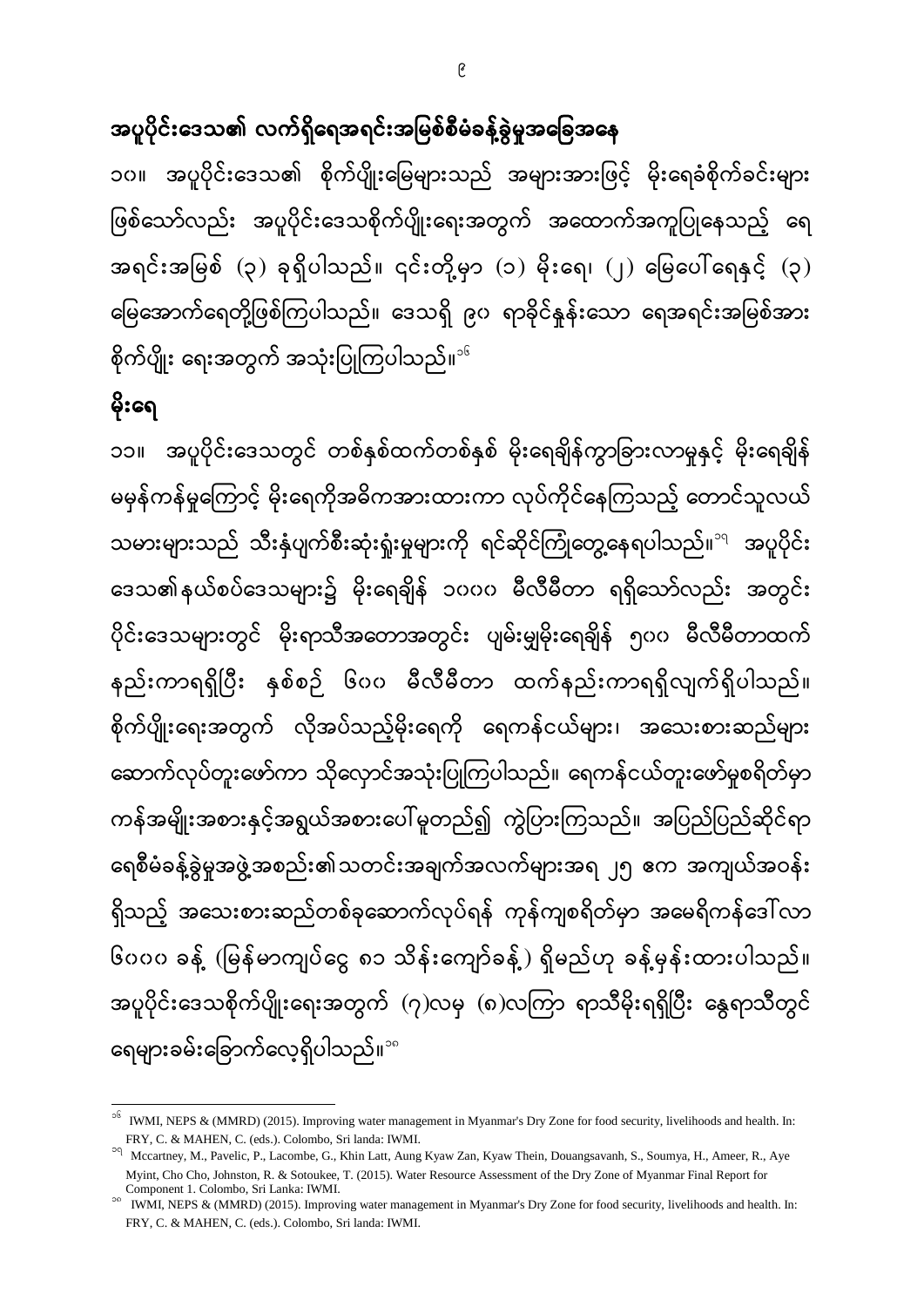အပူပိုင်းဒေသ၏ လက်ရှိရေအရင်းအမြစ်စီမံခန့်ခွဲမှုအခြေအနေ

၁၀။ အပူပိုင်းဒေသ၏ စိုက်ပျိုးမြေများသည် အများအားဖြင့် မိုးရေခံစိုက်ခင်းများ ဖြစ်သော်လည်း အပူပိုင်းဒေသစိုက်ပျိုးရေးအတွက် အထောက်အကူပြုနေသည့် ရေ ĺ အရင်းအမြစ် (၃) ခုရှိပါသည်။ ၎င်းတို့မှာ (၁) မိုးရေ၊ (၂) မြေပေါ်ရေနှင့် (၃) မြေအောက်ရေတို့ဖြစ်ကြပါသည်။ ဒေသရှိ ၉၀ ရာခိုင်နူန်းသော ရေအရင်းအမြစ်အား စိုက်ပျိုး ရေးအတွက် အသုံးပြုကြပါသည်။<sup>း</sup>

### မိုးရေ

 $\overline{a}$ 

၁၁။ အပူပိုင်းဒေသတွင် တစ်နှစ်ထက်တစ်နှစ် မိုးရေချိန်ကွာခြားလာမှုနှင့် မိုးရေချိန် မမှန်ကန်မှုကြောင့် မိုးရေကိုအဓိကအားထားကာ လုပ်ကိုင်နေကြသည့် တောင်သူလယ် သမားများသည် သီးနှံပျက်စီးဆုံးရှုံးမှုများကို ရင်ဆိုင်ကြုံတွေ့နေရပါသည်။<sup><sub>ရ</sup> အပူပိုင်း</sup></sub> ဒေသ၏နယ်စပ်ဒေသများ၌ မိုးရေချိန် ၁၀၀၀ မီလီမီတာ ရရှိသော်လည်း အတွင်း ပိုင်းဒေသများတွင် မိုးရာသီအတောအတွင်း ပျမ်းမျှမိုးရေချိန် ၅၀၀ မီလီမီတာထက် နည်းကာရရှိပြီး နှစ်စဉ် ၆၀၀ မီလီမီတာ ထက်နည်းကာရရှိလျက်ရှိပါသည်။ စိုက်ပျိုးရေးအတွက် လိုအပ်သည့်မိုးရေကို ရေကန်ငယ်များ၊ အသေးစားဆည်များ ဆောက်လုပ်တူးဖော်ကာ သိုလှောင်အသုံးပြုကြပါသည်။ ရေကန်ငယ်တူးဖော်မူစရိတ်မှာ ကန်အမျိုးအစားနှင့်အရွယ်အစားပေါ်မူတည်၍ ကွဲပြားကြသည်။ အပြည်ပြည်ဆိုင်ရာ ရေစီမံခန့်ခွဲမှုအဖွဲ့အစည်း၏သတင်းအချက်အလက်များအရ ၂၅ ဧက အကျယ်အဝန်း ရှိသည့် အသေးစားဆည်တစ်ခုဆောက်လုပ်ရန် ကုန်ကျစရိတ်မှာ အမေရိကန်ဒေါ်လာ ၆၀၀၀ ခန့် (မြန်မာကျပ်ငွေ ၈၁ သိန်းကျော်ခန့်) ရှိမည်ဟု ခန့်မှန်းထားပါသည်။ အပူပိုင်းဒေသစိုက်ပျိုးရေးအတွက် (၇)လမှ (၈)လကြာ ရာသီမိုးရရှိပြီး နွေရာသီတွင် ရေများခမ်းခြောက်လေ့ရှိပါသည်။<sup>∘</sup>ိ

<sup>16</sup> IWMI, NEPS & (MMRD) (2015). Improving water management in Myanmar's Dry Zone for food security, livelihoods and health. In: FRY, C. & MAHEN, C. (eds.). Colombo, Sri landa: IWMI.

<sup>&</sup>lt;sup>20</sup> Mccartney, M., Pavelic, P., Lacombe, G., Khin Latt, Aung Kyaw Zan, Kyaw Thein, Douangsavanh, S., Soumya, H., Ameer, R., Aye Myint, Cho Cho, Johnston, R. & Sotoukee, T. (2015). Water Resource Assessment of the Dry Zone of Myanmar Final Report for Component 1. Colombo, Sri Lanka: IWMI.

<sup>18</sup> IWMI, NEPS & (MMRD) (2015). Improving water management in Myanmar's Dry Zone for food security, livelihoods and health. In: FRY, C. & MAHEN, C. (eds.). Colombo, Sri landa: IWMI.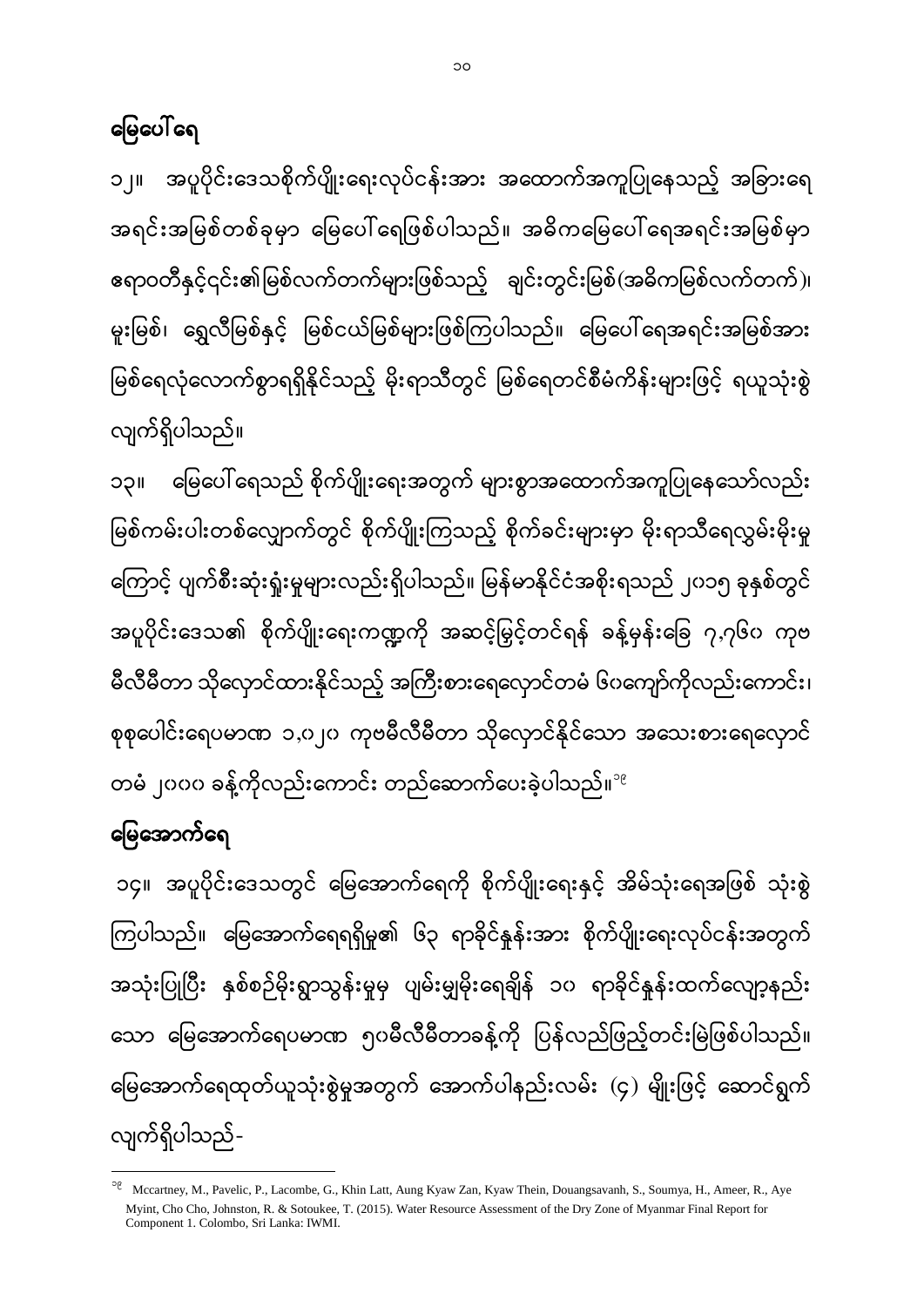၁၄။ အပူပိုင်းဒေသတွင် မြေအောက်ရေကို စိုက်ပျိုးရေးနှင့် အိမ်သုံးရေအဖြစ် သုံးစွဲ ကြပါသည်။ မြေအောက်ရေရရှိမှု၏ ၆၃ ရာခိုင်နှုန်းအား စိုက်ပျိုးရေးလုပ်ငန်းအတွက် အသုံးပြုပြီး နှစ်စဉ်မိုးရွာသွန်းမှုမှ ပျမ်းမျှမိုးရေချိန် ၁၀ ရာခိုင်နှန်းထက်လျော့နည်း သော မြေအောက်ရေပမာဏ ၅၀မီလီမီတာခန့်ကို ပြန်လည်ဖြည့်တင်းမြဲဖြစ်ပါသည်။ မြေအောက်ရေထုတ်ယူသုံးစွဲမှုအတွက် အောက်ပါနည်းလမ်း (၄) မျိုးဖြင့် ဆောင်ရွက် လျက်ရှိပါသည်-

မြေပေါ် ရေသည် စိုက်ပျိုးရေးအတွက် များစွာအထောက်အကူပြုနေသော်လည်း ၁၃ မြစ်ကမ်းပါးတစ်လျှောက်တွင် စိုက်ပျိုးကြသည့် စိုက်ခင်းများမှာ မိုးရာသီရေလွှမ်းမိုးမှု ကြောင့် ပျက်စီးဆုံးရှုံးမှုများလည်းရှိပါသည်။ မြန်မာနိုင်ငံအစိုးရသည် ၂၀၁၅ ခုနှစ်တွင် အပူပိုင်းဒေသ၏ စိုက်ပျိုးရေးကဏ္ဍကို အဆင့်မြှင့်တင်ရန် ခန့်မှန်းခြေ ၇,၇၆၀ ကုဗ မီလီမီတာ သိုလှောင်ထားနိုင်သည့် အကြီးစားရေလှောင်တမံ ၆ပကျော်ကိုလည်းကောင်း၊ စုစုပေါင်းရေပမာဏ ၁,၀၂၀ ကုဗမီလီမီတာ သိုလှောင်နိုင်သော အသေးစားရေလှောင်

တမံ ၂၀၀၀ ခန့်ကိုလည်းကောင်း တည်ဆောက်ပေးခဲ့ပါသည်။<sup>း</sup>

အပူပိုင်းဒေသစိုက်ပျိုးရေးလုပ်ငန်းအား အထောက်အကူပြုနေသည့် အခြားရေ ၁၂ အရင်းအမြစ်တစ်ခုမှာ မြေပေါ်ရေဖြစ်ပါသည်။ အဓိကမြေပေါ်ရေအရင်းအမြစ်မှာ ဧရာဝတီနှင့်၎င်း၏မြစ်လက်တက်များဖြစ်သည့် ချင်းတွင်းမြစ်(အဓိကမြစ်လက်တက်)၊ မူးမြစ်၊ ရွှေလီမြစ်နှင့် မြစ်ငယ်မြစ်များဖြစ်ကြပါသည်။ မြေပေါ်ရေအရင်းအမြစ်အား မြစ်ရေလုံလောက်စွာရရှိနိုင်သည့် မိုးရာသီတွင် မြစ်ရေတင်စီမံကိန်းများဖြင့် ရယူသုံးစွဲ ĺ လျက်ရှိပါသည်။

#### မြေပေါ်ရေ

ĺ

မြေအောက်ရေ

 $\overline{a}$ 

<sup>&</sup>lt;sup>9</sup> Mccartney, M., Pavelic, P., Lacombe, G., Khin Latt, Aung Kyaw Zan, Kyaw Thein, Douangsavanh, S., Soumya, H., Ameer, R., Aye Myint, Cho Cho, Johnston, R. & Sotoukee, T. (2015). Water Resource Assessment of the Dry Zone of Myanmar Final Report for Component 1. Colombo, Sri Lanka: IWMI.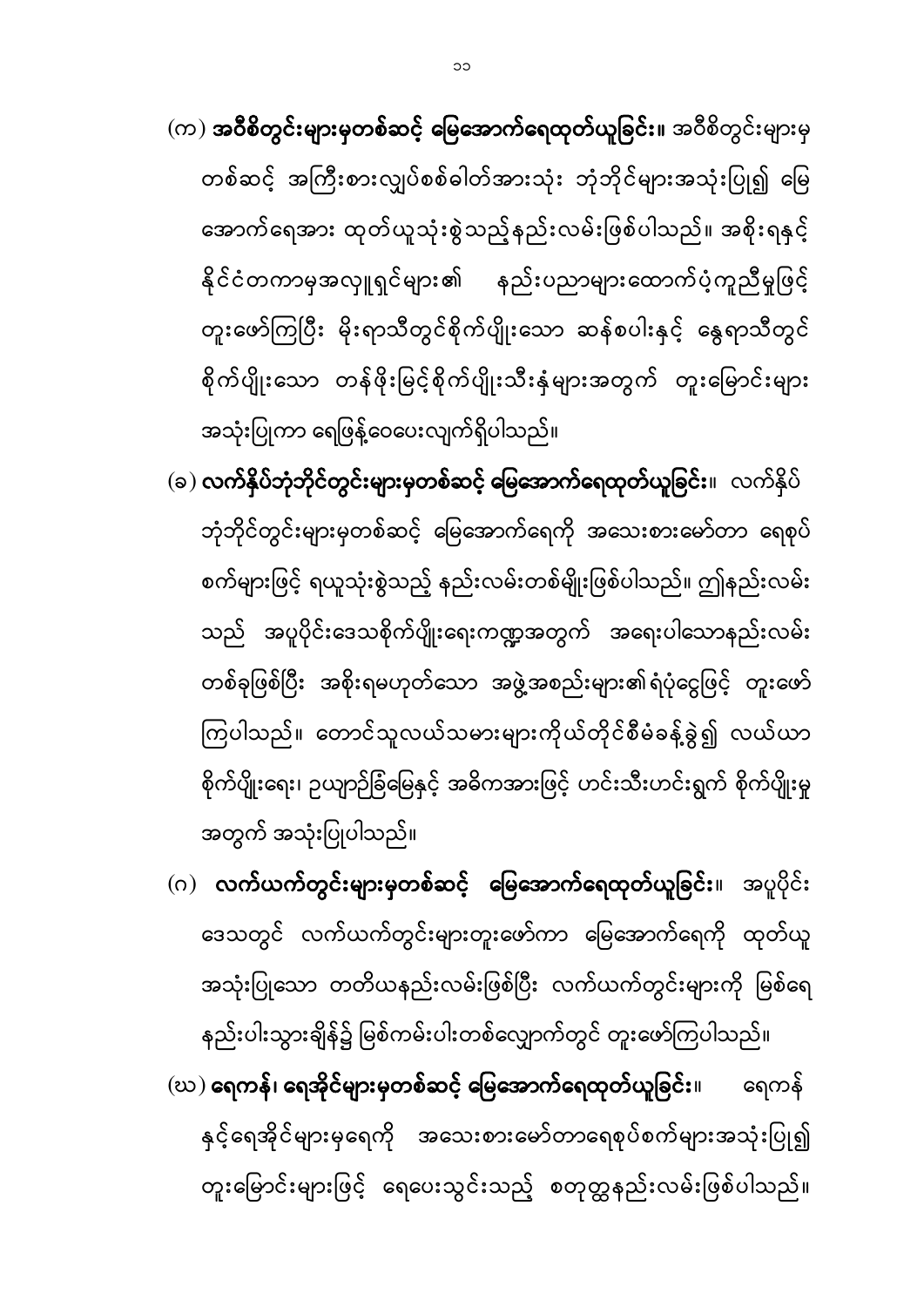နည်းပါးသွားချိန်၌ မြစ်ကမ်းပါးတစ်လျှောက်တွင် တူးဖော်ကြပါသည်။  $\left(\infty\right)$  ရေကန်၊ ရေအိုင်များမှတစ်ဆင့် မြေအောက်ရေထုတ်ယူခြင်း။ ရေကန် နှင့်ရေအိုင်များမှရေကို အသေးစားမော်တာရေစုပ်စက်များအသုံးပြု၍ တူးမြောင်းများဖြင့် ရေပေးသွင်းသည့် စတုတ္ထနည်းလမ်းဖြစ်ပါသည်။

- (ဂ) လ<mark>က်ယက်တွင်းများမှတစ်ဆင့် မြေအောက်ရေထုတ်ယူခြင်း</mark>။ အပူပိုင်း ဒေသတွင် လက်ယက်တွင်းများတူးဖော်ကာ မြေအောက်ရေကို ထုတ်ယူ အသုံးပြုသော တတိယနည်းလမ်းဖြစ်ပြီး လက်ယက်တွင်းများကို မြစ်ရေ
- (ခ) <mark>လက်နှိပ်ဘုံဘိုင်တွင်းများမှတစ်ဆင့် မြေအောက်ရေထုတ်ယူခြင်း</mark>။ လက်နှိပ် ဘုံဘိုင်တွင်းများမှတစ်ဆင့် မြေအောက်ရေကို အသေးစားမော်တာ ရေစုပ် စက်များဖြင့် ရယူသုံးစွဲသည့် နည်းလမ်းတစ်မျိုးဖြစ်ပါသည်။ ဤနည်းလမ်း သည် အပူပိုင်းဒေသစိုက်ပျိုးရေးကဏ္ဍအတွက် အရေးပါသောနည်းလမ်း တစ်ခုဖြစ်ပြီး အစိုးရမဟုတ်သော အဖွဲ့အစည်းများ၏ရံပုံငွေဖြင့် တူးဖော် ကြပါသည်။ တောင်သူလယ်သမားများကိုယ်တိုင်စီမံခန့်ခွဲ၍ လယ်ယာ စိုက်ပျိုးရေး၊ ဉယျာဉ်ခြံမြေနှင့် အဓိကအားဖြင့် ဟင်းသီးဟင်းရွက် စိုက်ပျိုးမှု အတွက် အသုံးပြုပါသည်။
- အောက်ရေအား ထုတ်ယူသုံးစွဲသည့်နည်းလမ်းဖြစ်ပါသည်။ အစိုးရနှင့် နိုင်ငံတကာမှအလှူရှင်များ၏ နည်းပညာများထောက်ပံ့ကူညီမှုဖြင့် တူးဖော်ကြပြီး မိုးရာသီတွင်စိုက်ပျိုးသော ဆန်စပါးနှင့် နွေရာသီတွင် စိုက်ပျိုးသော တန်ဖိုးမြင့်စိုက်ပျိုးသီးနှံများအတွက် တူးမြောင်းများ အသုံးပြုကာ ရေဖြန့်ဝေပေးလျက်ရှိပါသည်။
- (က) **အဝီစိတွင်းများမှတစ်ဆင့် မြေအောက်ရေထုတ်ယူခြင်း။** အဝီစိတွင်းများမှ တစ်ဆင့် အကြီးစားလျှပ်စစ်ဓါတ်အားသုံး ဘုံဘိုင်များအသုံးပြု၍ မြေ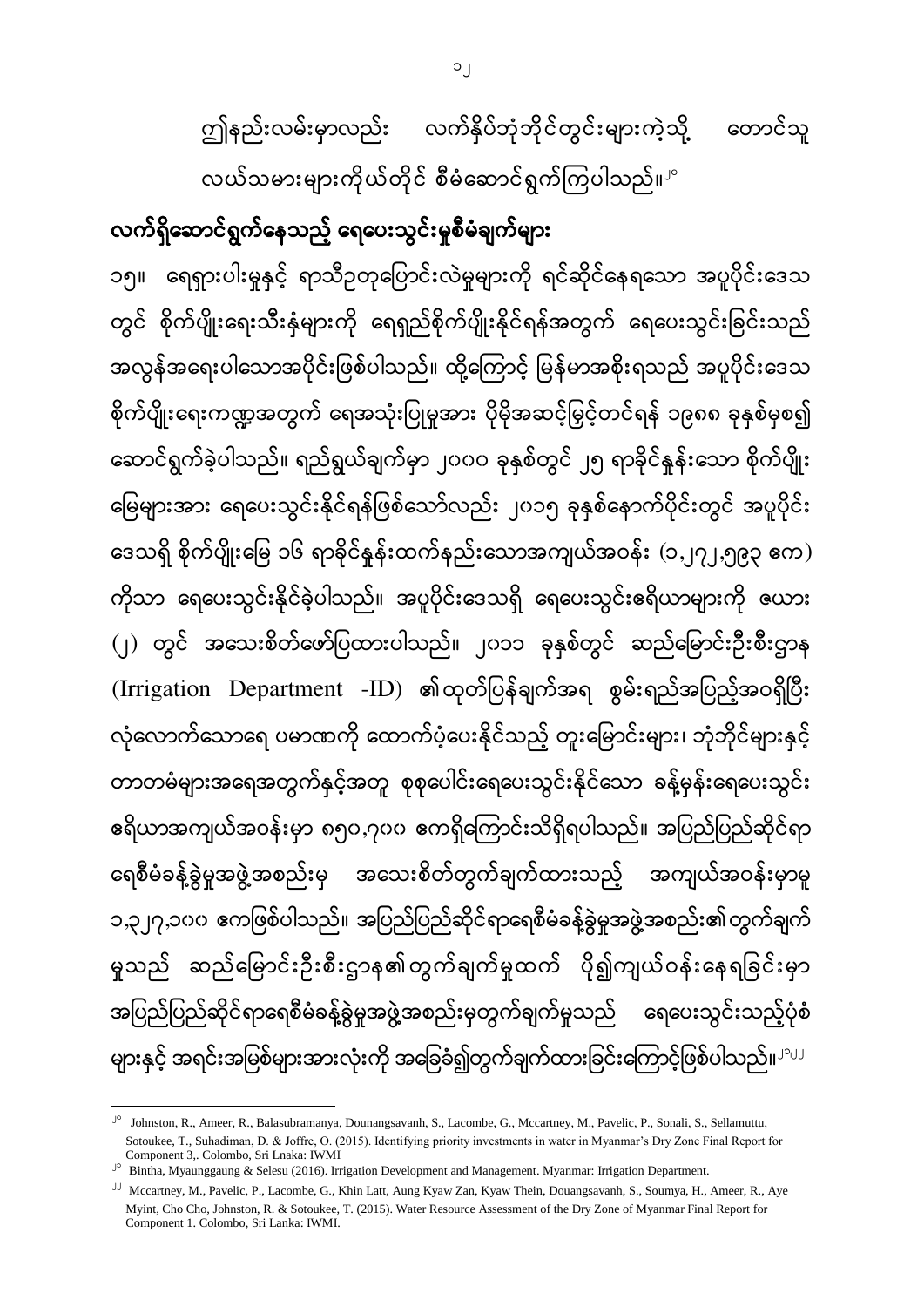လက်ရှိဆောင်ရွက်နေသည့် ရေပေးသွင်းမှုစီမံချက်များ ၁၅။ ရေရှားပါးမှုနှင့် ရာသီဥတုပြောင်းလဲမှုများကို ရင်ဆိုင်နေရသော အပူပိုင်းဒေသ တွင် စိုက်ပျိုးရေးသီးနှံများကို ရေရှည်စိုက်ပျိုးနိုင်ရန်အတွက် ရေပေးသွင်းခြင်းသည် အလွန်အရေးပါသောအပိုင်းဖြစ်ပါသည်။ ထို့ကြောင့် မြန်မာအစိုးရသည် အပူပိုင်းဒေသ စိုက်ပျိုးရေးကဏ္ဍအတွက် ရေအသုံးပြုမှုအား ပိုမိုအဆင့်မြှင့်တင်ရန် ၁၉၈၈ ခုနှစ်မှစ၍ ဆောင်ရွက်ခဲ့ပါသည်။ ရည်ရွယ်ချက်မှာ ၂၀၀၀ ခုနှစ်တွင် ၂၅ ရာခိုင်နူန်းသော စိုက်ပျိုး မြေများအား ရေပေးသွင်းနိုင်ရန်ဖြစ်သော်လည်း ၂၀၁၅ ခုနှစ်နောက်ပိုင်းတွင် အပူပိုင်း ဒေသရှိ စိုက်ပျိုးမြေ ၁၆ ရာခိုင်နူန်းထက်နည်းသောအကျယ်အဝန်း (၁,၂၇၂,၅၉၃ ဧက) ကိုသာ ရေပေးသွင်းနိုင်ခဲ့ပါသည်။ အပူပိုင်းဒေသရှိ ရေပေးသွင်းဧရိယာများကို ဇယား (၂) တွင် အသေးစိတ်ဖော်ပြထားပါသည်။ ၂၀၁၁ ခုနှစ်တွင် ဆည်မြောင်းဦးစီးဌာန (Irrigation Department -ID) လုံလောက်သောရေ ပမာဏကို ထောက်ပံ့ပေးနိုင်သည့် တူးမြောင်းများ၊ ဘုံဘိုင်များနှင့် တာတမံများအရေအတွက်နှင့်အတူ စုစုပေါင်းရေပေးသွင်းနိုင်သော ခန့်မှန်းရေပေးသွင်း ဧရိယာအကျယ်အဝန်းမှာ ၈၅၀,၇၀၀ ဧကရှိကြောင်းသိရှိရပါသည်။ အပြည်ပြည်ဆိုင်ရာ အသေးစိတ်တွက်ချက်ထားသည့် အကျယ်အဝန်းမှာမူ ရေစီမံခန့်ခွဲမှုအဖွဲ့အစည်းမှ ၁,၃၂၇,၁၀၀ ဧကဖြစ်ပါသည်။ အပြည်ပြည်ဆိုင်ရာရေစီမံခန့်ခွဲမှုအဖွဲ့အစည်း၏တွက်ချက် မှုသည် ဆည်မြောင်းဦးစီးဌာန၏တွက်ချက်မှုထက် ပို၍ကျယ်ဝန်းနေရခြင်းမှာ အပြည်ပြည်ဆိုင်ရာရေစီမံခန့်ခွဲမှုအဖွဲ့အစည်းမှတွက်ချက်မှုသည် ရေပေးသွင်းသည့်ပုံစံ များနှင့် အရင်းအမြစ်များအားလုံးကို အခြေခံ၍တွက်ချက်ထားခြင်းကြောင့်ဖြစ်ပါသည်။<sup>၂၁၂၂</sup>

**.** 

ဤနည်းလမ်းမှာလည်း လက်နိုပ်ဘုံဘိုင်တွင်းများကဲ့သို့

တောင်သူ

လယ်သမားများကိုယ်တိုင် စီမံဆောင်ရွက်ကြပါသည်။<sup>၂၀</sup>

<sup>&</sup>lt;sup>Jo</sup> Johnston, R., Ameer, R., Balasubramanya, Dounangsavanh, S., Lacombe, G., Mccartney, M., Pavelic, P., Sonali, S., Sellamuttu, Sotoukee, T., Suhadiman, D. & Joffre, O. (2015). Identifying priority investments in water in Myanmar's Dry Zone Final Report for Component 3,. Colombo, Sri Lnaka: IWMI

<sup>&</sup>lt;sup>Jo</sup> Bintha, Myaunggaung & Selesu (2016). Irrigation Development and Management. Myanmar: Irrigation Department.

<sup>22</sup> Mccartney, M., Pavelic, P., Lacombe, G., Khin Latt, Aung Kyaw Zan, Kyaw Thein, Douangsavanh, S., Soumya, H., Ameer, R., Aye Myint, Cho Cho, Johnston, R. & Sotoukee, T. (2015). Water Resource Assessment of the Dry Zone of Myanmar Final Report for Component 1. Colombo, Sri Lanka: IWMI.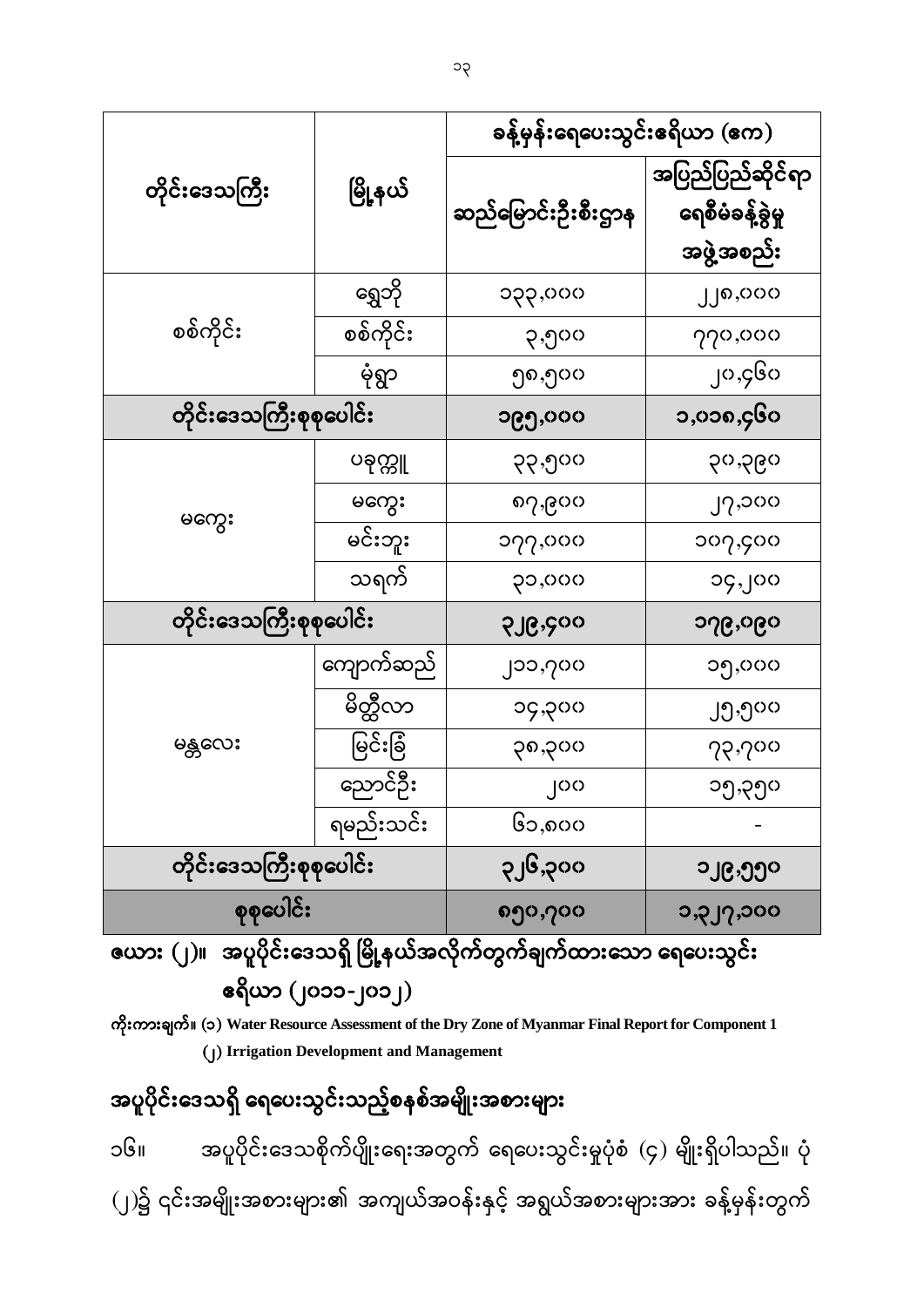အပူပိုင်းဒေသရှိ ရေပေးသွင်းသည့်စနစ်အမျိုးအစားများ ၁၆။ အပူပိုင်းဒေသစိုက်ပျိုးရေးအတွက် ရေပေးသွင်းမှုပုံစံ (၄) မျိုးရှိပါသည်။ ပုံ (၂)၌ ၎င်းအမျိုးအစားများ၏ အကျယ်အဝန်းနှင့် အရွယ်အစားများအား ခန့်မှန်းတွက်

(၂) **Irrigation Development and Management**

 (၂၀၁၁-၂၀၁၂) (၁) **Water Resource Assessment of the Dry Zone of Myanmar Final Report for Component 1**

|                                                                    |  |  |  | $\sim$ $\sim$ $\sim$ $\sim$ $\sim$ $\sim$ $\sim$ |  |  |
|--------------------------------------------------------------------|--|--|--|--------------------------------------------------|--|--|
| ဇယား (၂)။  အပူပိုင်းဒေသရှိ မြို့နယ်အလိုက်တွက်ချက်ထားသော ရေပေးသွင်း |  |  |  |                                                  |  |  |
|                                                                    |  |  |  |                                                  |  |  |

|                         | မြို့နယ်  | ခန့်မှန်းရေပေးသွင်းဧရိယာ (ဧက) |                                                    |  |  |
|-------------------------|-----------|-------------------------------|----------------------------------------------------|--|--|
| တိုင်းဒေသကြီး           |           | ဆည်မြောင်းဦးစီးဌာန            | အပြည်ပြည်ဆိုင်ရာ<br>ရေစီမံခန့်ခွဲမှု<br>အဖွဲ့အစည်း |  |  |
|                         | ရွှေဘို   | ၁၃၃,၀၀၀                       | ၂၂၈,၀၀၀                                            |  |  |
| စစ်ကိုင်း               | စစ်ကိုင်း | ၃,၅၀၀                         | 770,000                                            |  |  |
|                         | မုံရွာ    | ၅၈,၅၀၀                        | ၂၀,၄၆၀                                             |  |  |
| တိုင်းဒေသကြီးစုစုပေါင်း |           | ၁၉၅,၀၀၀                       | ၁,၀၁၈,၄၆၀                                          |  |  |
|                         | ပခုက္ကူ   | ၃၃,၅၀၀                        | ၃၀,၃၉၀                                             |  |  |
|                         | မကွေး     | ၈၇,၉၀၀                        | J2,000                                             |  |  |
| မကွေး                   | မင်းဘူး   | ၁၇၇,၀၀၀                       | $\circ$                                            |  |  |
|                         | သရက်      | ၃၁,၀၀၀                        | ၁၄,၂၀၀                                             |  |  |
| တိုင်းဒေသကြီးစုစုပေါင်း |           | <b>SJG</b> .Soo               | ၁၇၉,၀၉၀                                            |  |  |
|                         | ကျောက်ဆည် | ၂၁၁,၇၀၀                       | ၁၅,၀၀၀                                             |  |  |
|                         | မိတ္ထီလာ  | ၁၄,၃၀၀                        | ၂၅,၅၀၀                                             |  |  |
| မန္တလေး                 | မြင်းခြံ  | ၃၈,၃၀၀                        | 72,700                                             |  |  |
|                         | ညောင်ဦး   | ုဂဂ                           | ၁၅,၃၅၀                                             |  |  |
|                         | ရမည်းသင်း | ၆၁,၈၀၀                        |                                                    |  |  |
| တိုင်းဒေသကြီးစုစုပေါင်း |           | ၃၂၆,၃၀၀                       | ၁၂၉,၅၅၀                                            |  |  |
| စုစုပေါင်း              |           | ၈၅၀,၇၀၀                       | ၁,၃၂၇,၁၀၀                                          |  |  |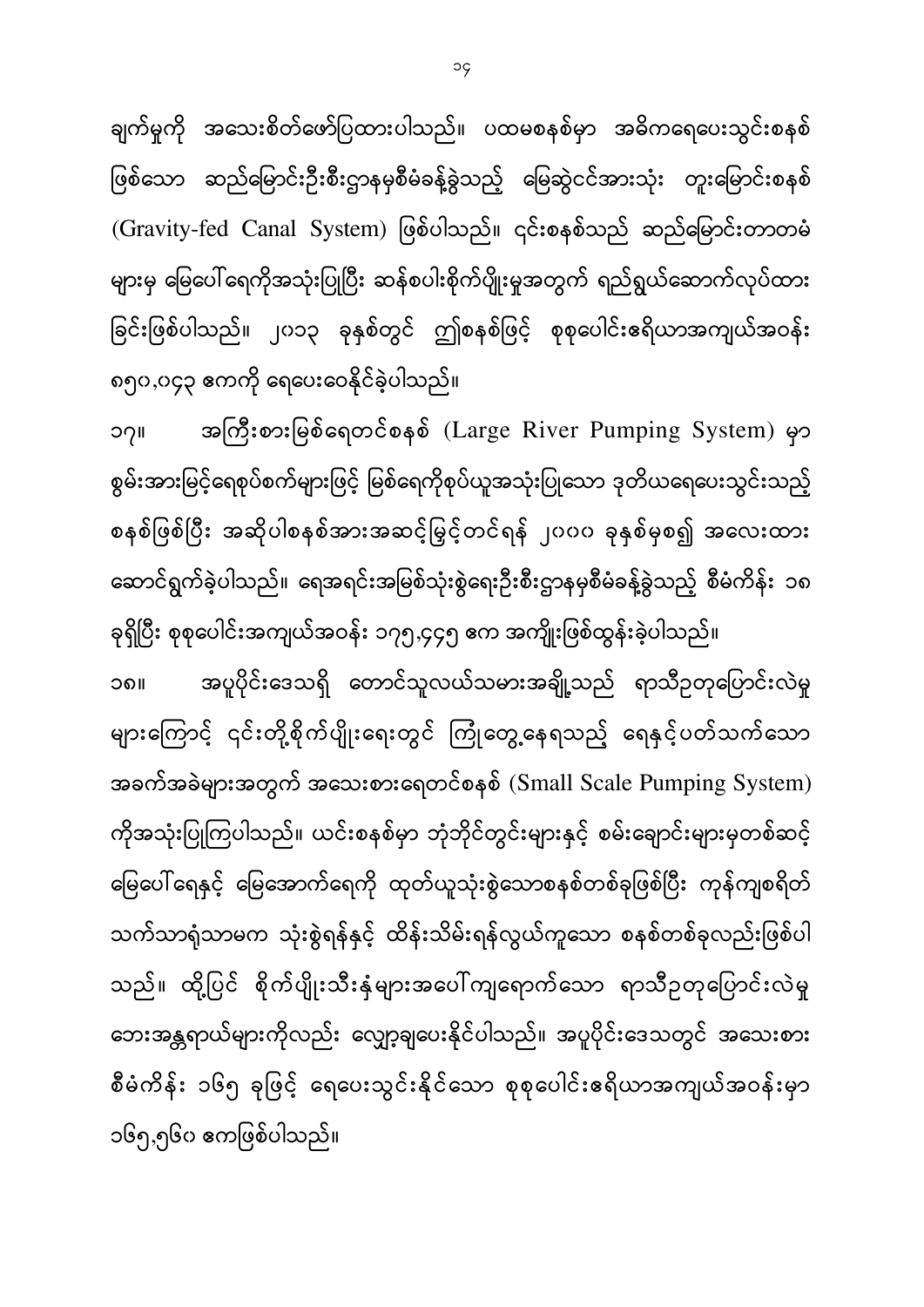၁၄

ချက်မှုကို အသေးစိတ်ဖော်ပြထားပါသည်။ ပထမစနစ်မှာ အဓိကရေပေးသွင်းစနစ် ဖြစ်သော ဆည်မြောင်းဦးစီးဌာနမှစီမံခန့်ခွဲသည့် မြေဆွဲငင်အားသုံး တူးမြောင်းစနစ် ĺ (Gravity-fed Canal System) ဖြစ်ပါသည်။ ၎င်းစနစ်သည် ဆည်မြောင်းတာတမံ များမှ မြေပေါ် ရေကိုအသုံးပြုပြီး ဆန်စပါးစိုက်ပျိုးမှုအတွက် ရည်ရွယ်ဆောက်လုပ်ထား ခြင်းဖြစ်ပါသည်။ ၂၀၁၃ ခုနှစ်တွင် ဤစနစ်ဖြင့် စုစုပေါင်းဧရိယာအကျယ်အဝန်း ၈၅၀,၀၄၃

၁၇။ အကြီးစားမြစ်ရေတင်စနစ် (Large River Pumping System) မှာ စွမ်းအားမြင့်ရေစုပ်စက်များဖြင့် မြစ်ရေကိုစုပ်ယူအသုံးပြုသော ဒုတိယရေပေးသွင်းသည့် စနစ်ဖြစ်ပြီး အဆိုပါစနစ်အားအဆင့်မြှင့်တင်ရန် ၂၀၀၀ ခုနှစ်မှစ၍ အလေးထား ဆောင်ရွက်ခဲ့ပါသည်။ ရေအရင်းအမြစ်သုံးစွဲရေးဦးစီးဌာနမှစီမံခန့်ခွဲသည့် စီမံကိန်း ၁၈

ခုရှိပြီး စုစုပေါင်းအကျယ်အဝန်း ၁၇၅,၄၄၅ ဧက အကျိုးဖြစ်ထွန်းခဲ့ပါသည်။ အပူပိုင်းဒေသရှိ တောင်သူလယ်သမားအချို့သည် ရာသီဥတုပြောင်းလဲမှု ၁၈ များကြောင့် ၎င်းတို့စိုက်ပျိုးရေးတွင် ကြုံတွေ့နေရသည့် ရေနှင့်ပတ်သက်သော အခက်အခဲများအတွက် အသေးစားရေတင်စနစ်  $(Small$   $Scale$   $Pumping$   $System)$ ကိုအသုံးပြုကြပါသည်။ ယင်းစနစ်မှာ ဘုံဘိုင်တွင်းများနှင့် စမ်းချောင်းများမှတစ်ဆင့် မြေပေါ် ရေနှင့် မြေအောက်ရေကို ထုတ်ယူသုံးစွဲသောစနစ်တစ်ခုဖြစ်ပြီး ကုန်ကျစရိတ် သက်သာရုံသာမက သုံးစွဲရန်နှင့် ထိန်းသိမ်းရန်လွယ်ကူသော စနစ်တစ်ခုလည်းဖြစ်ပါ သည်။ ထို့ပြင် စိုက်ပျိုးသီးနှံများအပေါ်ကျရောက်သော ရာသီဉတုပြောင်းလဲမှု ဘေးအန္တရာယ်များကိုလည်း လျှော့ချပေးနိုင်ပါသည်။ အပူပိုင်းဒေသတွင် အသေးစား စီမံကိန်း ၁၆၅ ခုဖြင့် ရေပေးသွင်းနိုင်သော စုစုပေါင်းဧရိယာအကျယ်အဝန်းမှာ ၁၆၅,၅၆၀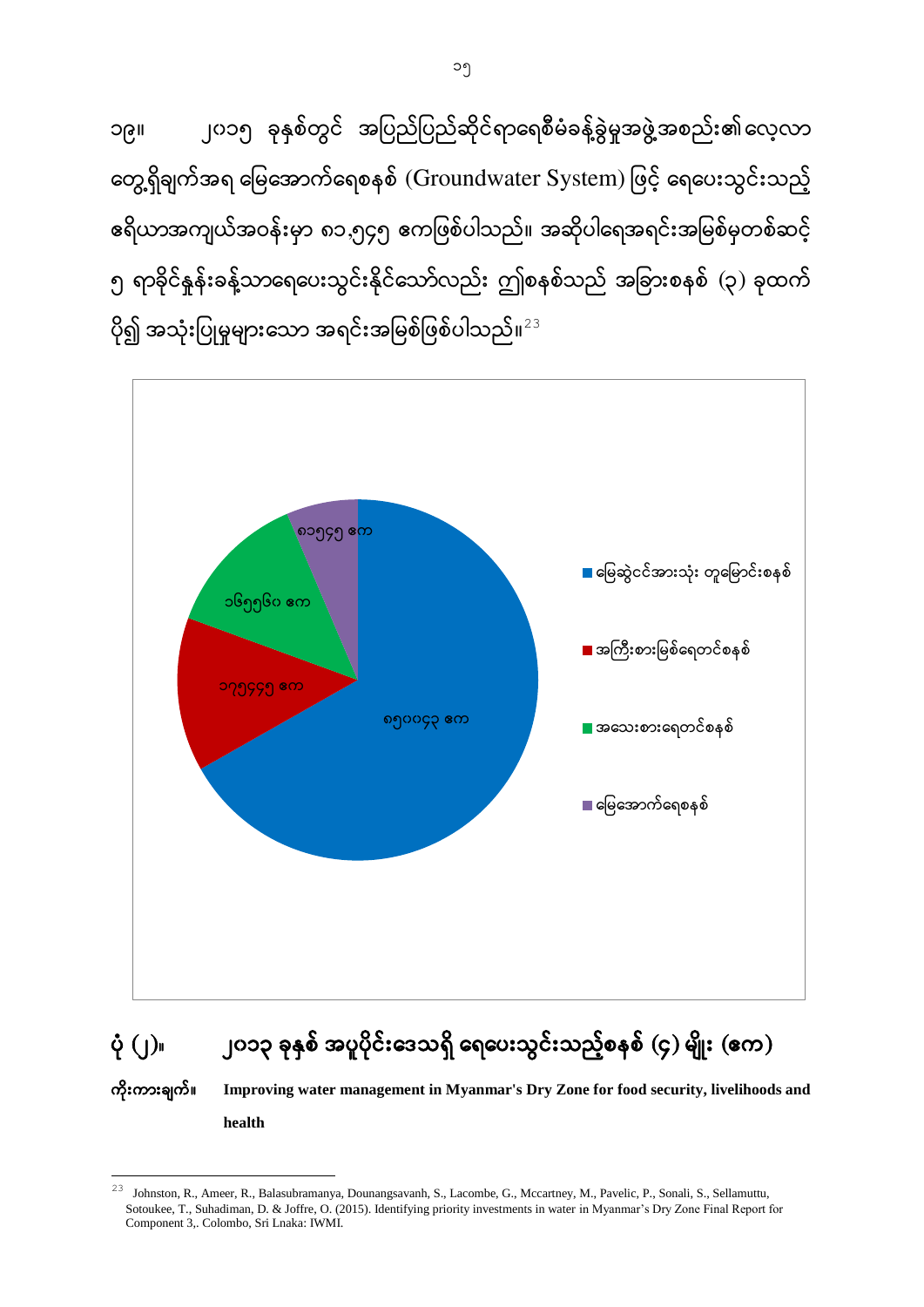၁၉။ ၂၀၁၅ ခုနှစ်တွင် အပြည်ပြည်ဆိုင်ရာရေစီမံခန့်ခွဲမှုအဖွဲ့အစည်း၏ လေ့လာ တွေ့ရှိချက်အရ မြေအောက်ရေစနစ် (Groundwater System) ဖြင့် ရေပေးသွင်းသည့် ဧရိယာအကျယ်အဝန်းမှာ ၈၁,၅၄၅ ဧကဖြစ်ပါသည်။ အဆိုပါရေအရင်းအမြစ်မှတစ်ဆင့် ၅ ရာခိုင်နှုန်းခန့်သာရေပေးသွင်းနိုင်သော်လည်း ဤစနစ်သည် အခြားစနစ် (၃) ခုထက် ပို၍ အသုံးပြုမှုများသော အရင်းအမြစ်ဖြစ်ပါသည်။ $^{23}$ 



# $\dot{\phi}$  (၂) ပြုပ်စုံ ရန်စ် အပူပိုင်းဒေသရှိ ရေပေးသွင်းသည့်စနစ် (၄) မျိုး (ဧက)

 **Improving water management in Myanmar's Dry Zone for food security, livelihoods and health**

1

<sup>&</sup>lt;sup>23</sup> Johnston, R., Ameer, R., Balasubramanya, Dounangsavanh, S., Lacombe, G., Mccartney, M., Pavelic, P., Sonali, S., Sellamuttu, Sotoukee, T., Suhadiman, D. & Joffre, O. (2015). Identifying priority investments in water in Myanmar's Dry Zone Final Report for Component 3,. Colombo, Sri Lnaka: IWMI.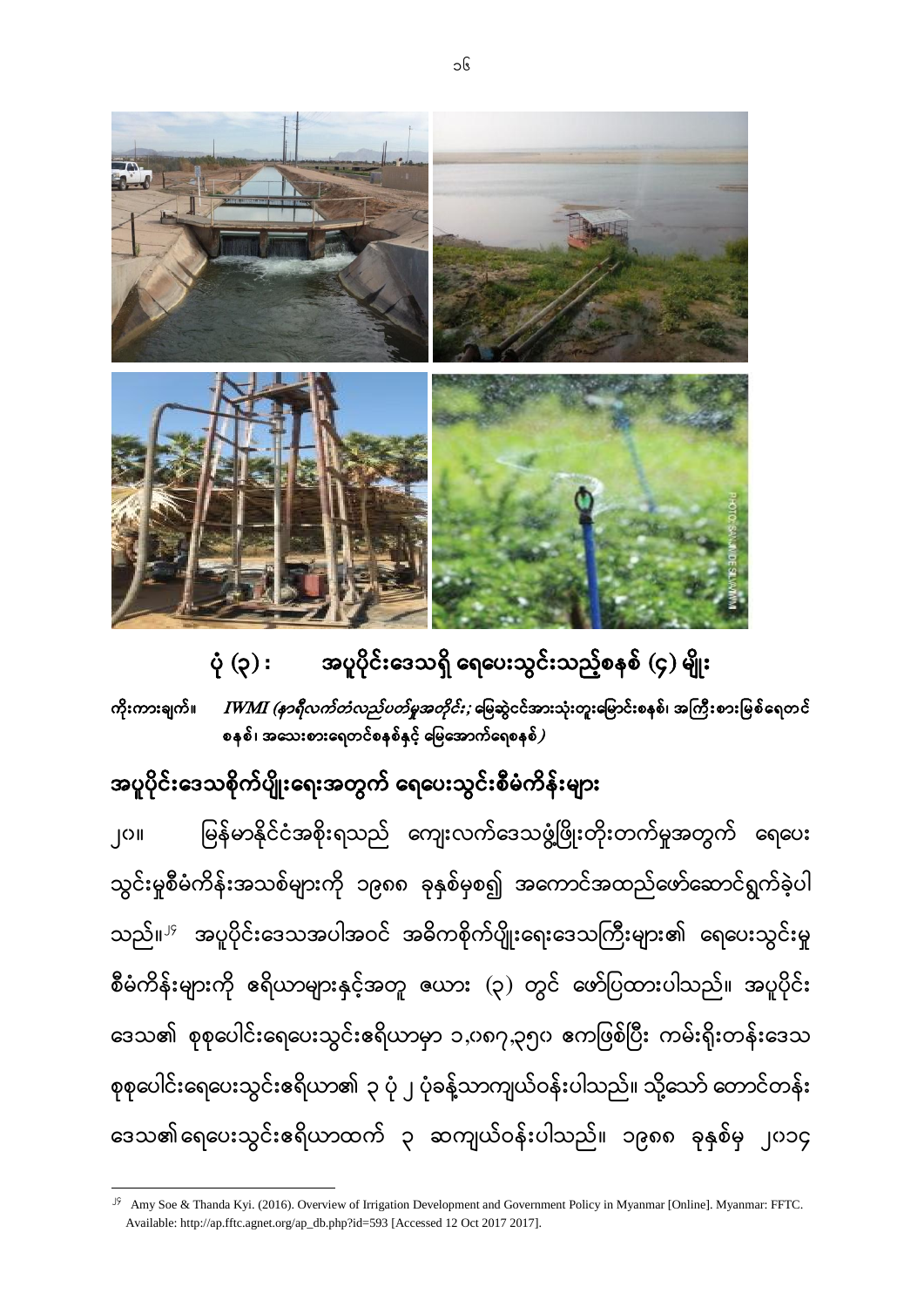

ပုံ (၃) **: အပူပိုင်းဒေသရှိ ရေပေးသွင်းသည့်စနစ်** (၄) မျိုး ကိုးကားချက်။ *IWMI (နာရီလက်တံလည်ပတ်မှုအတိုင်း; မြေ*ဆွဲငင်အားသုံးတူးမြောင်းစနစ်၊ အကြီးစားမြစ်ရေတင် စနစ်၊ အသေးစားရေတင်စနစ်နှင့် မြေအောက်ရေစနစ် $\bm{j}$ 

### အပူပိုင်းဒေသစိုက်ပျိုးရေးအတွက် ရေပေးသွင်းစီမံကိန်းများ

**.** 

မြန်မာနိုင်ငံအစိုးရသည် ကျေးလက်ဒေသဖွံ့ဖြိုးတိုးတက်မှုအတွက် ရေပေး ၂၀ သွင်းမှုစီမံကိန်းအသစ်များကို ၁၉၈၈ ခုနှစ်မှစ၍ အကောင်အထည်ဖော်ဆောင်ရွက်ခဲ့ပါ သည်။<sup>၂၄</sup> အပူပိုင်းဒေသအပါအဝင် အဓိကစိုက်ပျိုးရေးဒေသကြီးများ၏ ရေပေးသွင်းမှု စီမံကိန်းများကို ဧရိယာများနှင့်အတူ ယေား (၃) တွင် ဖော်ပြထားပါသည်။ အပူပိုင်း ဒေသ၏ စုစုပေါင်းရေပေးသွင်းဧရိယာမှာ ၁,၀၈၇,၃၅၀ ဧကဖြစ်ပြီး ကမ်းရိုးတန်းဒေသ စုစုပေါင်းရေပေးသွင်းဧရိယာ၏ ၃ ပုံ ၂ ပုံခန့်သာကျယ်ဝန်းပါသည်။ သို့သော် တောင်တန်း ဒေသ၏ရေပေးသွင်းဧရိယာထက် ၃ ဆကျယ်ဝန်းပါသည်။ ၁၉၈၈ ခုနှစ်မှ ၂၀၁၄

<sup>&</sup>lt;sup>J9</sup> Amy Soe & Thanda Kyi. (2016). Overview of Irrigation Development and Government Policy in Myanmar [Online]. Myanmar: FFTC. Available[: http://ap.fftc.agnet.org/ap\\_db.php?id=593](http://ap.fftc.agnet.org/ap_db.php?id=593) [Accessed 12 Oct 2017 2017].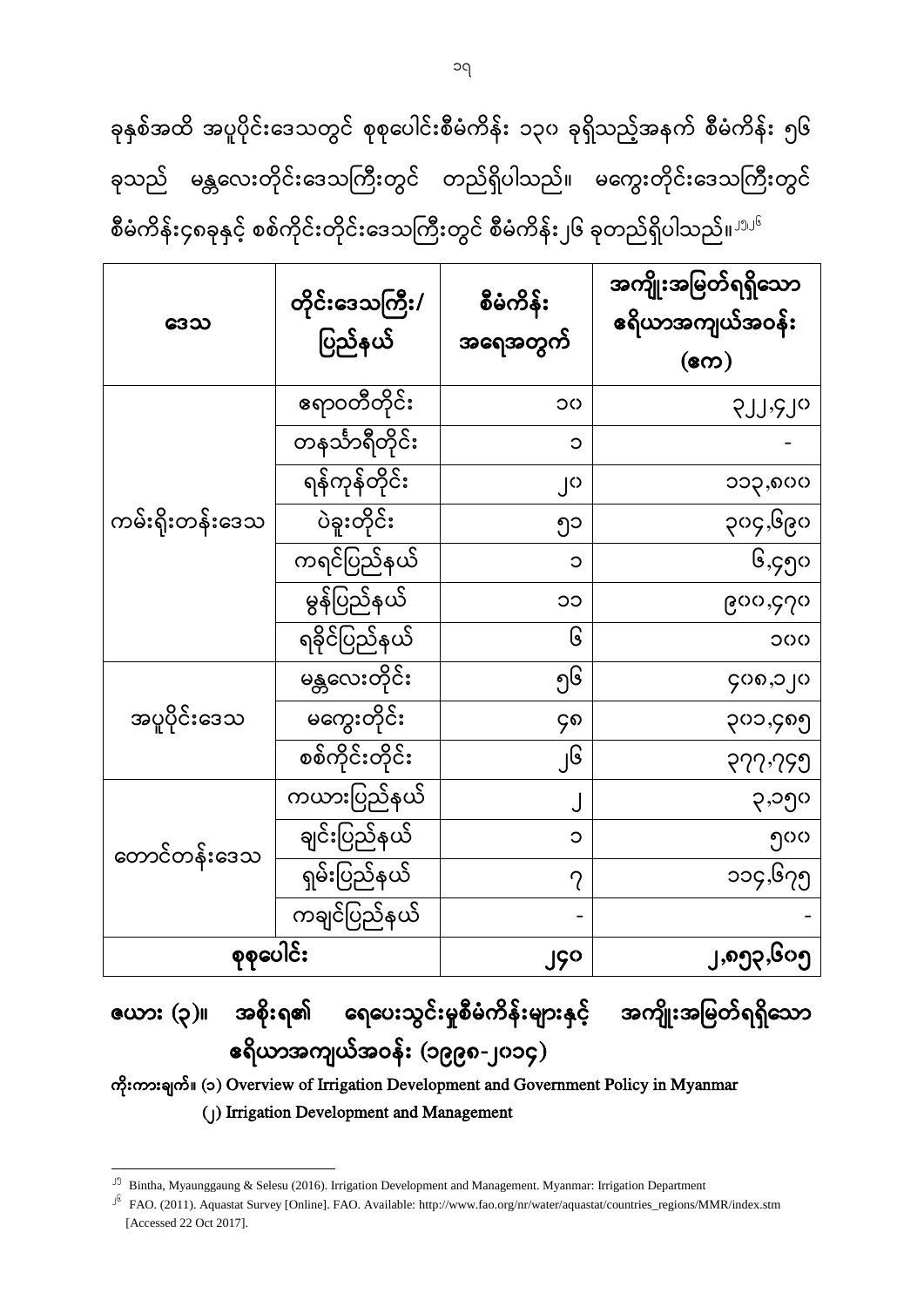ခုနှစ်အထိ အပူပိုင်းဒေသတွင် စုစုပေါင်းစီမံကိန်း ၁၃၀ ခုရှိသည့်အနက် စီမံကိန်း ၅၆ ခုသည် မန္တလေးတိုင်းဒေသကြီးတွင် တည်ရှိပါသည်။ မကွေးတိုင်းဒေသကြီးတွင် စီမံကိန်း၄၈ခုနှင့် စစ်ကိုင်းတိုင်းဒေသကြီးတွင် စီမံကိန်း၂၆ ခုတည်ရှိပါသည်။<sup>၂၅၂၆</sup>

| ဒေသ             | တိုင်းဒေသကြီး/<br>ပြည်နယ် | စီမံကိန်း<br>အရေအတွက် | အကျိုးအမြတ်ရရှိသော<br>ဧရိယာအကျယ်အဝန်း<br>$(\infty)$ |
|-----------------|---------------------------|-----------------------|-----------------------------------------------------|
|                 | ဧရာဝတီတိုင်း              | ၁၀                    | SIJ <sub>'</sub> SI <sub>O</sub>                    |
|                 | တနင်္သာရီတိုင်း           | $\circ$               |                                                     |
|                 | ရန်ကုန်တိုင်း             | ၂၀                    | ၁၁၃,၈၀၀                                             |
| ကမ်းရိုးတန်းဒေသ | ပဲခူးတိုင်း               | ၅၁                    | ၃၀၄,၆၉၀                                             |
|                 | ကရင်ပြည်နယ်               | $\circ$               | ၆,၄၅၀                                               |
|                 | မွန်ပြည်နယ်               | ၁၁                    | ၉၀၀,၄၇၀                                             |
|                 | ရခိုင်ပြည်နယ်             | ၆                     | 000                                                 |
|                 | မန္တလေးတိုင်း             | ၅၆                    | ၄၀၈,၁၂၀                                             |
| အပူပိုင်းဒေသ    | မကွေးတိုင်း               | ၄၈                    | ၃၀၁,၄၈၅                                             |
|                 | စစ်ကိုင်းတိုင်း           | ၂၆                    | 977.799                                             |
|                 | ကယားပြည်နယ်               | J                     | ၃,၁၅၀                                               |
| တောင်တန်းဒေသ    | ချင်းပြည်နယ်              | ၁                     | ၅၀၀                                                 |
|                 | ရှမ်းပြည်နယ်              | $\gamma$              | ၁၁၄,၆၇၅                                             |
|                 | ကချင်ပြည်နယ်              |                       |                                                     |
| စုစုပေါင်း      |                           | ၂၄၀                   | ၂,၈၅၃,၆၀၅                                           |

# ဇယား (၃)။ အစိုးရ၏ ရေပေးသွင်းမှုစီမံကိန်းများနှင့် အကျိုးအမြတ်ရရှိသော (၁၉၉၈-၂၀၁၄)

 (၁) Overview of Irrigation Development and Government Policy in Myanmar (၂) Irrigation Development and Management

<sup>25</sup> Bintha, Myaunggaung & Selesu (2016). Irrigation Development and Management. Myanmar: Irrigation Department

 $16$  FAO. (2011). Aquastat Survey [Online]. FAO. Available: [http://www.fao.org/nr/water/aquastat/countries\\_regions/MMR/index.stm](http://www.fao.org/nr/water/aquastat/countries_regions/MMR/index.stm) [Accessed 22 Oct 2017].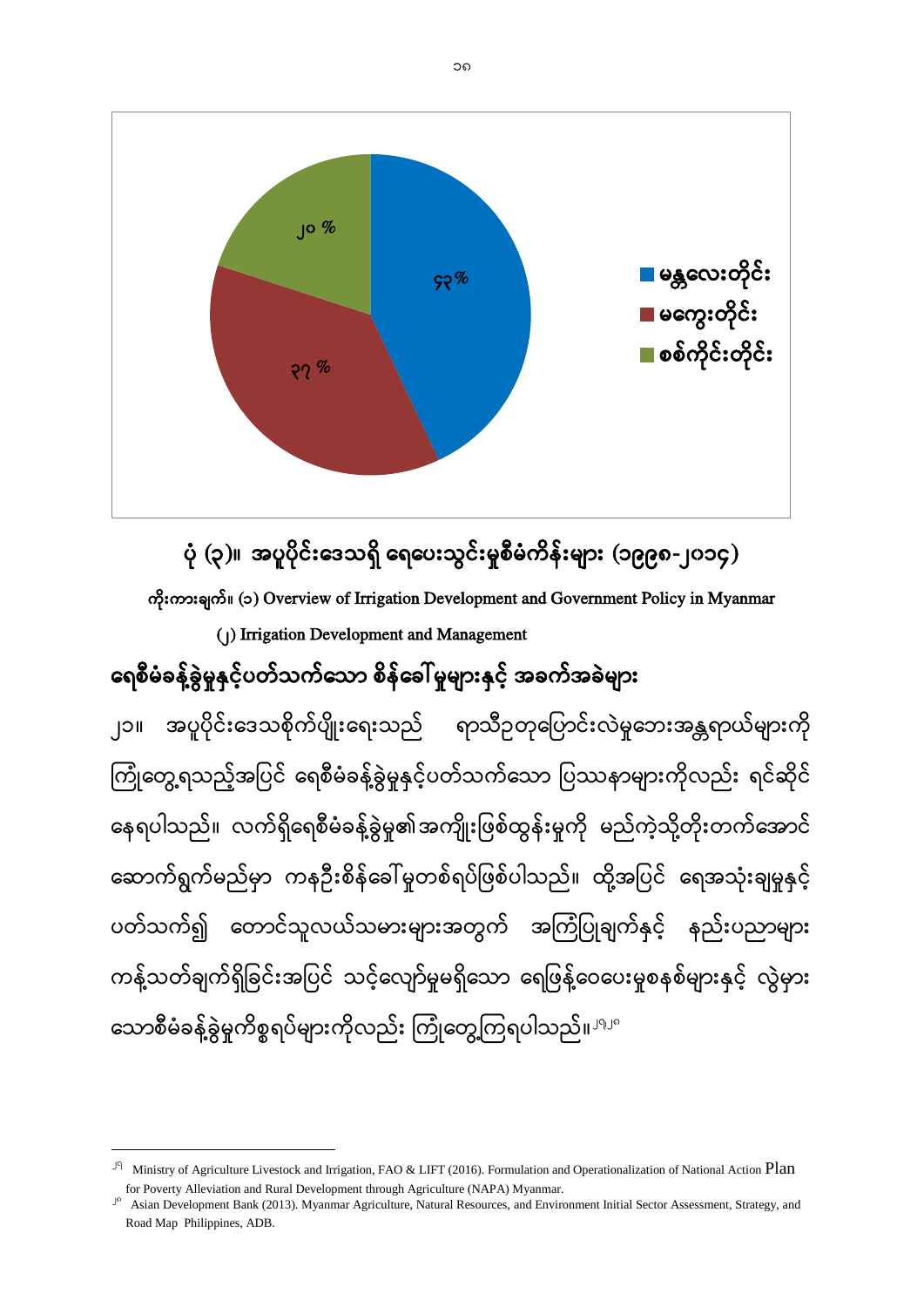

# ပုံ (၃)။ အပူပိုင်းဒေသရှိ ရေပေးသွင်းမှုစီမံကိန်းများ (၁၉၉၈-၂၀၁၄)

(၁) Overview of Irrigation Development and Government Policy in Myanmar

(၂) Irrigation Development and Management

# ရေစီမံခန့်ခွဲမှုနှင့်ပတ်သက်သော စိန်ခေါ် မှုများနှင့် အခက်အခဲများ

အပူပိုင်းဒေသစိုက်ပျိုးရေးသည် ရာသီဥတုပြောင်းလဲမှုဘေးအန္တရာယ်များကို ၂၁ ကြုံတွေ့ရသည့်အပြင် ရေစီမံခန့်ခွဲမှုနှင့်ပတ်သက်သော ပြဿနာများကိုလည်း ရင်ဆိုင် ĺ နေရပါသည်။ လက်ရှိရေစီမံခန့်ခွဲမှု၏အကျိုးဖြစ်ထွန်းမှုကို မည်ကဲ့သို့တိုးတက်အောင် ဆောက်ရွက်မည်မှာ ကနဉီးစိန်ခေါ်မူတစ်ရပ်ဖြစ်ပါသည်။ ထို့အပြင် ရေအသုံးချမှုနှင့် ပတ်သက်၍ တောင်သူလယ်သမားများအတွက် အကြံပြုချက်နှင့် နည်းပညာများ ကန့်သတ်ချက်ရှိခြင်းအပြင် သင့်လျော်မူမရှိသော ရေဖြန့်ဝေပေးမူစနစ်များနှင့် လွဲမှား သောစီမံခန့်ခွဲမှုကိစ္စရပ်များကိုလည်း ကြုံတွေ့ကြရပါသည်။ <sup>၂၅၂၈</sup>

<sup>&</sup>lt;sup> $J$ </sup> Ministry of Agriculture Livestock and Irrigation, FAO & LIFT (2016). Formulation and Operationalization of National Action Plan for Poverty Alleviation and Rural Development through Agriculture (NAPA) Myanmar.

<sup>&</sup>lt;sup>16</sup> Asian Development Bank (2013). Myanmar Agriculture, Natural Resources, and Environment Initial Sector Assessment, Strategy, and Road Map Philippines, ADB.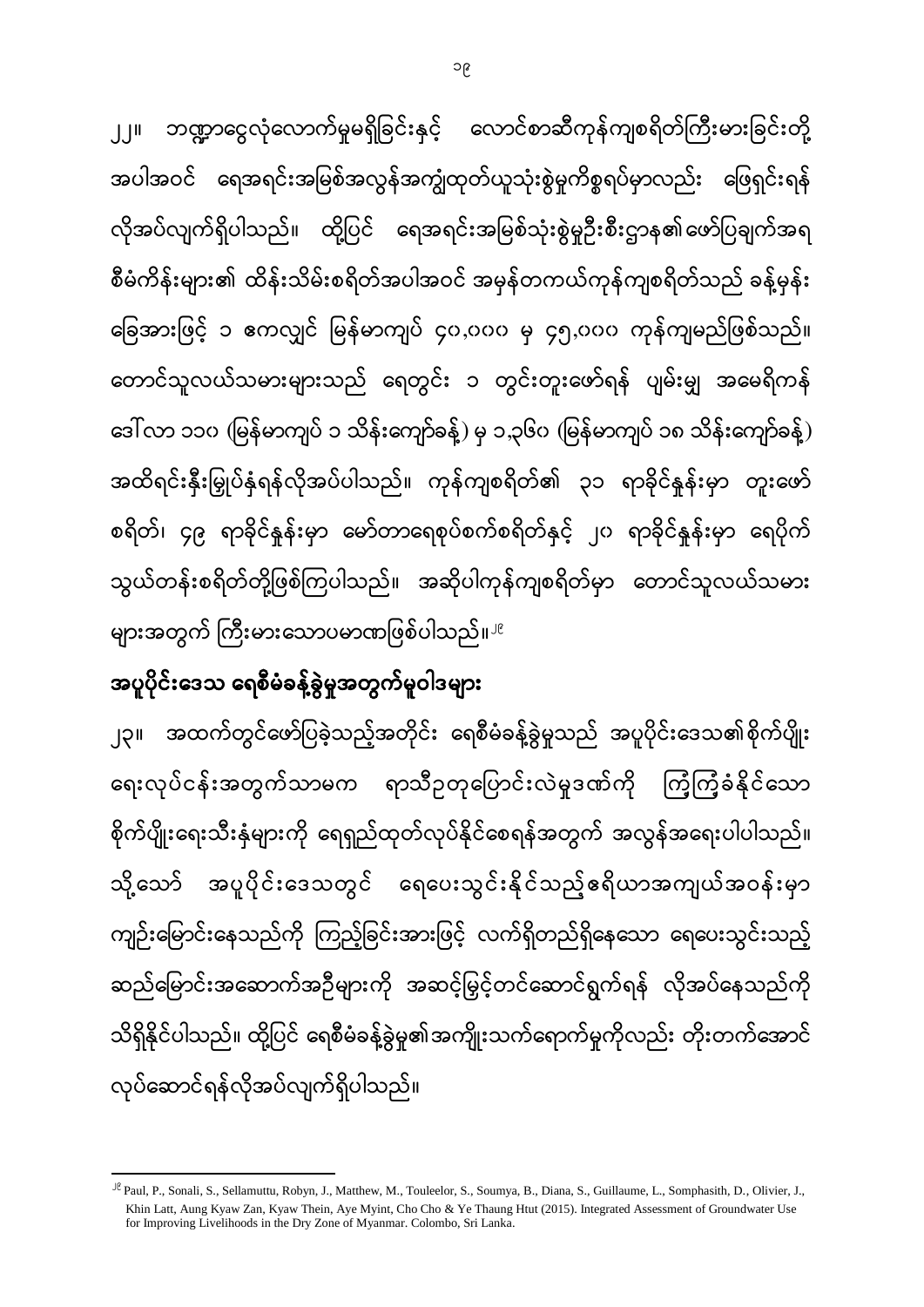အထက်တွင်ဖော်ပြခဲ့သည့်အတိုင်း ရေစီမံခန့်ခွဲမှုသည် အပူပိုင်းဒေသ၏စိုက်ပျိုး ၂၃ ရေးလုပ်ငန်းအတွက်သာမက ရာသီဥတုပြောင်းလဲမှုဒဏ်ကို ကြံ့ကြံ့ခံနိုင်သော စိုက်ပျိုးရေးသီးနှံများကို ရေရှည်ထုတ်လုပ်နိုင်စေရန်အတွက် အလွန်အရေးပါပါသည်။ အပူပိုင်းဒေသတွင် ရေပေးသွင်းနိုင်သည့်ဧရိယာအကျယ်အဝန်းမှာ သို့ သော် ကျဉ်းမြောင်းနေသည်ကို ကြည့်ခြင်းအားဖြင့် လက်ရှိတည်ရှိနေသော ရေပေးသွင်းသည့် ဆည်မြောင်းအဆောက်အဉီများကို အဆင့်မြှင့်တင်ဆောင်ရွက်ရန် လိုအပ်နေသည်ကို သိရှိနိုင်ပါသည်။ ထို့ပြင် ရေစီမံခန့်ခွဲမှု၏အကျိုးသက်ရောက်မှုကိုလည်း တိုးတက်အောင် လုပ်ဆောင်ရန်လိုအပ်လျက်ရှိပါသည်။

#### အပူပိုင်းဒေသ ရေစီမံခန့်ခွဲမှုအတွက်မူဝါဒများ

**.** 

ဘဏ္ဍာငွေလုံလောက်မှုမရှိခြင်းနှင့် လောင်စာဆီကုန်ကျစရိတ်ကြီးမားခြင်းတို့  $J<sub>1</sub>$ အပါအဝင် ရေအရင်းအမြစ်အလွန်အကျွံထုတ်ယူသုံးစွဲမှုကိစ္စရပ်မှာလည်း ဖြေရှင်းရန် လိုအပ်လျက်ရှိပါသည်။ ထို့ပြင် ရေအရင်းအမြစ်သုံးစွဲမှုဉီးစီးဌာန၏ဖော်ပြချက်အရ စီမံကိန်းများ၏ ထိန်းသိမ်းစရိတ်အပါအဝင် အမှန်တကယ်ကုန်ကျစရိတ်သည် ခန့်မှန်း ခြေအားဖြင့် ၁ ဧကလျှင် မြန်မာကျပ် ၄၀,၀၀၀ မှ ၄၅,၀၀၀ ကုန်ကျမည်ဖြစ်သည်။ တောင်သူလယ်သမားများသည် ရေတွင်း ၁ တွင်းတူးဖော်ရန် ပျမ်းမျှ အမေရိကန် ဒေါ် လာ ၁၁၀ (မြန်မာကျပ် ၁ သိန်းကျော်ခန့်) မှ ၁,၃၆၀ (မြန်မာကျပ် ၁၈ သိန်းကျော်ခန့်) အထိရင်းနှီးမြှုပ်နှံရန်လိုအပ်ပါသည်။ ကုန်ကျစရိတ်၏ ၃၁ ရာခိုင်နှန်းမှာ တူးဖော် စရိတ်၊ ၄၉ ရာခိုင်နူန်းမှာ မော်တာရေစုပ်စက်စရိတ်နှင့် ၂၀ ရာခိုင်နူန်းမှာ ရေပိုက် သွယ်တန်းစရိတ်တို့ဖြစ်ကြပါသည်။ အဆိုပါကုန်ကျစရိတ်မှာ တောင်သူလယ်သမား များအတွက် ကြီးမားသောပမာဏဖြစ်ပါသည်။ <sup>၂၉</sup>

<sup>29</sup> Paul, P., Sonali, S., Sellamuttu, Robyn, J., Matthew, M., Touleelor, S., Soumya, B., Diana, S., Guillaume, L., Somphasith, D., Olivier, J., Khin Latt, Aung Kyaw Zan, Kyaw Thein, Aye Myint, Cho Cho & Ye Thaung Htut (2015). Integrated Assessment of Groundwater Use for Improving Livelihoods in the Dry Zone of Myanmar. Colombo, Sri Lanka.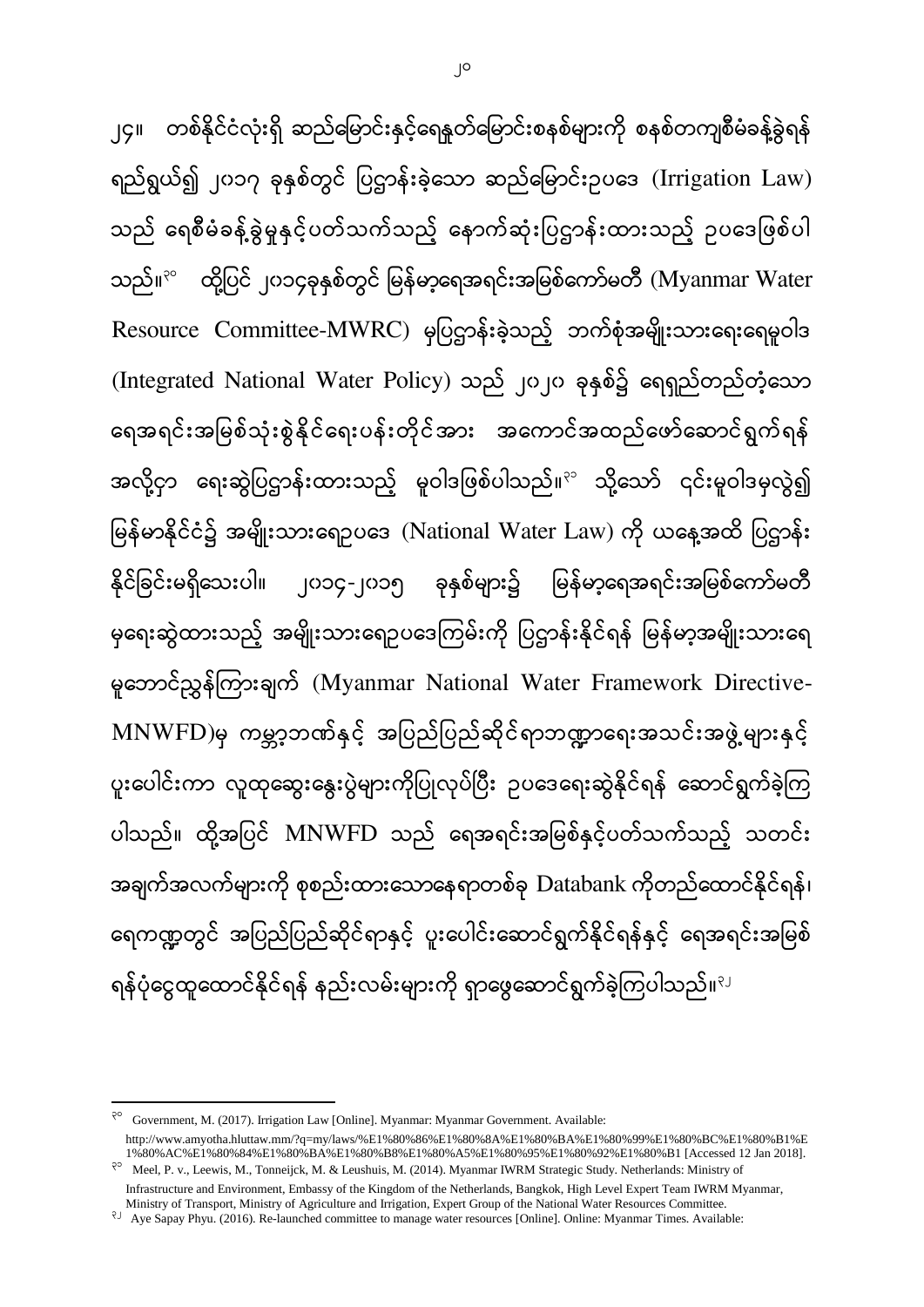၂၄။ ဝာစ်နိုင်ငံလုံးရှိ ဆည်မြောင်းနှင့်ရေနူတ်မြောင်းစနစ်များကို စနစ်တကျစီမံခန့်ခွဲရန် ရည်ရွယ်၍ ၂၀၁၇ ခုနှစ်တွင် ပြဌာန်းခဲ့သော ဆည်မြောင်းဥပဒေ (Irrigation Law) သည် ရေစီမံခန့်ခွဲမှုနှင့်ပတ်သက်သည့် နောက်ဆုံးပြဋ္ဌာန်းထားသည့် ဥပဒေဖြစ်ပါ သည်။ $\mathrm{^3}^\circ$  ထို့ပြင် ၂၀၁၄ခုနှစ်တွင် မြန်မာ့ရေအရင်းအမြစ်ကော်မတီ (Myanmar Water Resource Committee-MWRC) မှပြဌာန်းခဲ့သည့် ဘက်စုံအမျိုးသားရေးရေမူဝါဒ (Integrated National Water Policy) သည် ၂၀၂၀ ခုနှစ်၌ ရေရှည်တည်တံ့သော ရေအရင်းအမြစ်သုံးစွဲနိုင်ရေးပန်းတိုင်အား အကောင်အထည်ဖော်ဆောင်ရွက်ရန် အလို့ငှာ ရေးဆွဲပြဌာန်းထားသည့် မူဝါဒဖြစ်ပါသည်။<sup>၃၁</sup> သို့သော် ၎င်းမူဝါဒမှလွဲ၍ မြန်မာနိုင်ငံ၌ အမျိုးသားရောပဒေ (National Water Law) ကို ယနေ့အထိ ပြဌာန်း နိုင်ခြင်းမရှိသေးပါ။ ၂၀၁၄-၂၀၁၅ ခုနှစ်များ၌ မြန်မာ့ရေအရင်းအမြစ်ကော်မတီ မှရေးဆွဲထားသည့် အမျိုးသားရေဉပဒေကြမ်းကို ပြဌာန်းနိုင်ရန် မြန်မာ့အမျိုးသားရေ မူဘောင်ညွှန်ကြားချက် (Myanmar National Water Framework Directive-MNWFD)မှ ကမ္ဘာ့ဘဏ်နှင့် အပြည်ပြည်ဆိုင်ရာဘဏ္ဍာရေးအသင်းအဖွဲ့များနှင့် ပူးပေါင်းကာ လူထုဆွေးနွေးပွဲများကိုပြုလုပ်ပြီး ဉပဒေရေးဆွဲနိုင်ရန် ဆောင်ရွက်ခဲ့ကြ ပါသည်။ ထို့အပြင် MNWFD သည် ရေအရင်းအမြစ်နှင့်ပတ်သက်သည့် သတင်း အချက်အလက်များကို စုစည်းထားသောနေရာတစ်ခု Databank ကိုတည်ထောင်နိုင်ရန်၊ ရေကဏ္ဍတွင် အပြည်ပြည်ဆိုင်ရာနှင့် ပူးပေါင်းဆောင်ရွက်နိုင်ရန်နှင့် ရေအရင်းအမြစ် ရန်ပုံငွေထူထောင်နိုင်ရန် နည်းလမ်းများကို ရှာဖွေဆောင်ရွက်ခဲ့ကြပါသည်။<sup>ျ</sup>

 $3^{\circ}$  Government, M. (2017). Irrigation Law [Online]. Myanmar: Myanmar Government. Available:

[http://www.amyotha.hluttaw.mm/?q=my/laws/%E1%80%86%E1%80%8A%E1%80%BA%E1%80%99%E1%80%BC%E1%80%B1%E](http://www.amyotha.hluttaw.mm/?q=my/laws/%E1%80%86%E1%80%8A%E1%80%BA%E1%80%99%E1%80%BC%E1%80%B1%E1%80%AC%E1%80%84%E1%80%BA%E1%80%B8%E1%80%A5%E1%80%95%E1%80%92%E1%80%B1) [1%80%AC%E1%80%84%E1%80%BA%E1%80%B8%E1%80%A5%E1%80%95%E1%80%92%E1%80%B1](http://www.amyotha.hluttaw.mm/?q=my/laws/%E1%80%86%E1%80%8A%E1%80%BA%E1%80%99%E1%80%BC%E1%80%B1%E1%80%AC%E1%80%84%E1%80%BA%E1%80%B8%E1%80%A5%E1%80%95%E1%80%92%E1%80%B1) [Accessed 12 Jan 2018].

Meel, P. v., Leewis, M., Tonneijck, M. & Leushuis, M. (2014). Myanmar IWRM Strategic Study. Netherlands: Ministry of Infrastructure and Environment, Embassy of the Kingdom of the Netherlands, Bangkok, High Level Expert Team IWRM Myanmar,

Ministry of Transport, Ministry of Agriculture and Irrigation, Expert Group of the National Water Resources Committee.

<sup>&</sup>lt;sup>2</sup> Aye Sapay Phyu. (2016). Re-launched committee to manage water resources [Online]. Online: Myanmar Times. Available: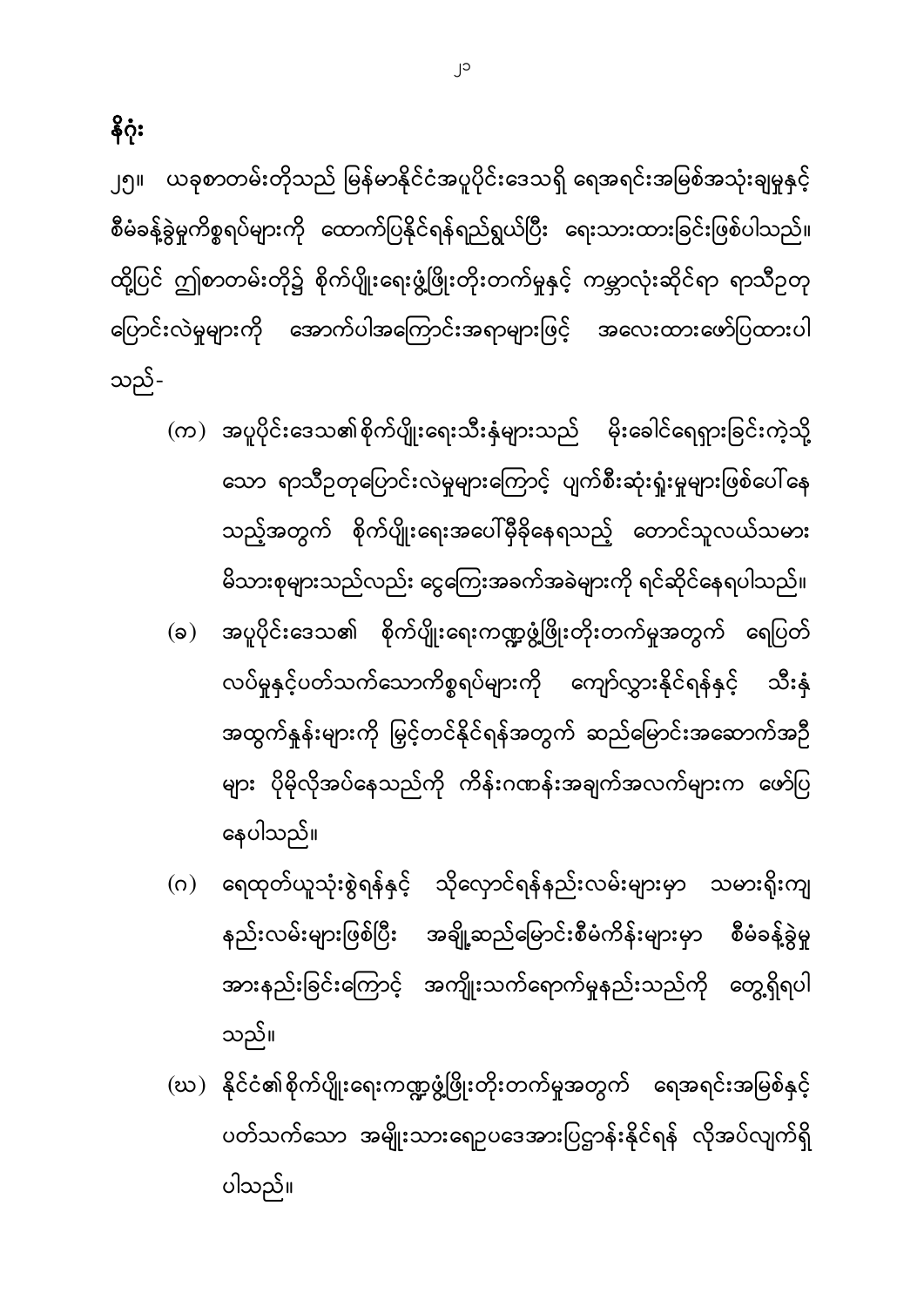- (ဃ) နိုင်ငံ၏စိုက်ပျိုးရေးကဏ္ဍဖွံ့ဖြိုးတိုးတက်မှုအတွက် ရေအရင်းအမြစ်နှင့် ပတ်သက်သော အမျိုးသားရောပဒေအားပြဌာန်းနိုင်ရန် လိုအပ်လျက်ရှိ ပါသည်။
- နေပါသည်။ (ဂ) ရေထုတ်ယူသုံးစွဲရန်နှင့် သိုလှောင်ရန်နည်းလမ်းများမှာ သမားရိုးကျ စီမံခန့်ခွဲမှု နည်းလမ်းများဖြစ်ပြီး အချို့ဆည်မြောင်းစီမံကိန်းများမှာ အားနည်းခြင်းကြောင့် အကျိုးသက်ရောက်မှုနည်းသည်ကို တွေ့ရှိရပါ သည်။
- သော ရာသီဉတုပြောင်းလဲမှုများကြောင့် ပျက်စီးဆုံးရှုံးမှုများဖြစ်ပေါ်နေ သည့်အတွက် စိုက်ပျိုးရေးအပေါ်မှီခိုနေရသည့် တောင်သူလယ်သမား မိသားစုများသည်လည်း ငွေကြေးအခက်အခဲများကို ရင်ဆိုင်နေရပါသည်။ (ခ) အပူပိုင်းဒေသ၏ စိုက်ပျိုးရေးကဏ္ဍဖွံ့ဖြိုးတိုးတက်မှုအတွက် ရေပြတ် လပ်မှုနှင့်ပတ်သက်သောကိစ္စရပ်များကို ကျော်လွှားနိုင်ရန်နှင့် သီးနှံ အထွက်နှုန်းများကို မြှင့်တင်နိုင်ရန်အတွက် ဆည်မြောင်းအဆောက်အဉီ များ ပိုမိုလိုအပ်နေသည်ကို ကိန်းဂဏန်းအချက်အလက်များက ဖော်ပြ

 $\left( \infty \right)$  အပူပိုင်းဒေသ၏စိုက်ပျိုးရေးသီးနှံများသည် မိုးခေါင်ရေရှားခြင်းကဲ့သို့

၂၅။ ယခုစာတမ်းတိုသည် မြန်မာနိုင်ငံအပူပိုင်းဒေသရှိ ရေအရင်းအမြစ်အသုံးချမှုနှင့် စီမံခန့်ခွဲမှုကိစ္စရပ်များကို ထောက်ပြနိုင်ရန်ရည်ရွယ်ပြီး ရေးသားထားခြင်းဖြစ်ပါသည်။ ထို့ပြင် ဤစာတမ်းတို၌ စိုက်ပျိုးရေးဖွံ့ဖြိုးတိုးတက်မှုနှင့် ကမ္ဘာလုံးဆိုင်ရာ ရာသီဥတု ပြောင်းလဲမှုများကို အောက်ပါအကြောင်းအရာများဖြင့် အလေးထားဖော်ပြထားပါ သည်-